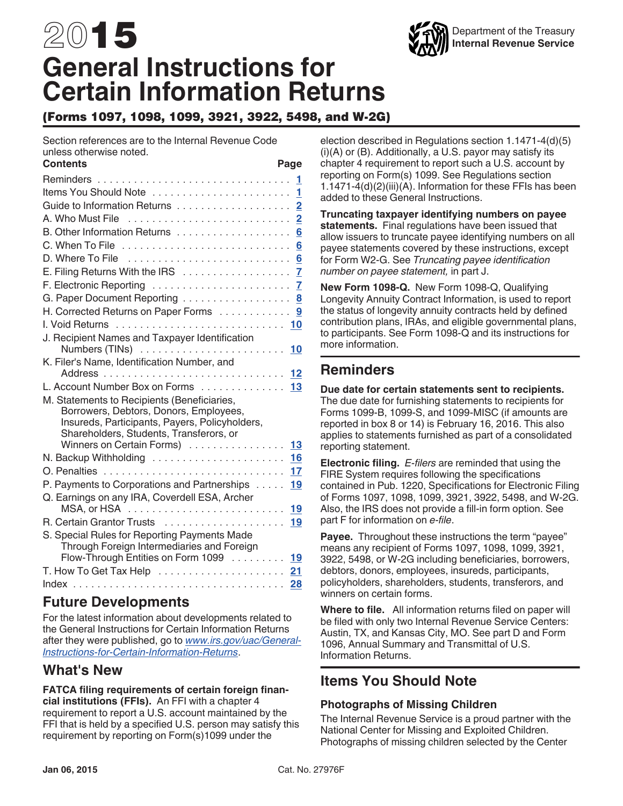# 2015 **General Instructions for Certain Information Returns**

### (Forms 1097, 1098, 1099, 3921, 3922, 5498, and W-2G)

| Section references are to the Internal Revenue Code                                       |                |
|-------------------------------------------------------------------------------------------|----------------|
| unless otherwise noted.<br><b>Contents</b>                                                | Page           |
|                                                                                           |                |
| Items You Should Note                                                                     | 1              |
|                                                                                           | $\overline{2}$ |
|                                                                                           | $\overline{2}$ |
|                                                                                           | 6              |
|                                                                                           |                |
|                                                                                           |                |
| E. Filing Returns With the IRS 7                                                          |                |
|                                                                                           |                |
| G. Paper Document Reporting 8                                                             |                |
| H. Corrected Returns on Paper Forms                                                       | 9              |
|                                                                                           |                |
| J. Recipient Names and Taxpayer Identification                                            |                |
|                                                                                           |                |
| K. Filer's Name, Identification Number, and                                               |                |
| L. Account Number Box on Forms 13                                                         |                |
| M. Statements to Recipients (Beneficiaries,                                               |                |
| Borrowers, Debtors, Donors, Employees,                                                    |                |
| Insureds, Participants, Payers, Policyholders,<br>Shareholders, Students, Transferors, or |                |
| Winners on Certain Forms)                                                                 | 13             |
|                                                                                           | 16             |
|                                                                                           | 17             |
| P. Payments to Corporations and Partnerships                                              | 19             |
| Q. Earnings on any IRA, Coverdell ESA, Archer                                             |                |
| $MSA$ , or $HSA$ $\ldots$ $\ldots$ $\ldots$ $\ldots$ $\ldots$ $\ldots$ $\ldots$ $\ldots$  | 19             |
|                                                                                           | 19             |
| S. Special Rules for Reporting Payments Made                                              |                |
| Through Foreign Intermediaries and Foreign                                                |                |
| Flow-Through Entities on Form 1099 19                                                     |                |
|                                                                                           | 28             |
|                                                                                           |                |

### **Future Developments**

For the latest information about developments related to the General Instructions for Certain Information Returns after they were published, go to *[www.irs.gov/uac/General-](http://www.irs.gov/uac/General-Instructions-for-Certain-Information-Returns)[Instructions-for-Certain-Information-Returns](http://www.irs.gov/uac/General-Instructions-for-Certain-Information-Returns)*.

### **What's New**

**FATCA filing requirements of certain foreign financial institutions (FFIs).** An FFI with a chapter 4 requirement to report a U.S. account maintained by the FFI that is held by a specified U.S. person may satisfy this requirement by reporting on Form(s)1099 under the

election described in Regulations section 1.1471-4(d)(5)  $(i)(A)$  or  $(B)$ . Additionally, a U.S. payor may satisfy its chapter 4 requirement to report such a U.S. account by reporting on Form(s) 1099. See Regulations section 1.1471-4(d)(2)(iii)(A). Information for these FFIs has been added to these General Instructions.

Department of the Treasury **Internal Revenue Service**

**Truncating taxpayer identifying numbers on payee statements.** Final regulations have been issued that allow issuers to truncate payee identifying numbers on all payee statements covered by these instructions, except for Form W2-G. See *Truncating payee identification number on payee statement,* in part J.

New Form 1098-Q. New Form 1098-Q, Qualifying Longevity Annuity Contract Information, is used to report the status of longevity annuity contracts held by defined contribution plans, IRAs, and eligible governmental plans, to participants. See Form 1098-Q and its instructions for more information.

# **Reminders**

**Due date for certain statements sent to recipients.**  The due date for furnishing statements to recipients for Forms 1099-B, 1099-S, and 1099-MISC (if amounts are reported in box 8 or 14) is February 16, 2016. This also applies to statements furnished as part of a consolidated reporting statement.

**Electronic filing.** *E-filers* are reminded that using the FIRE System requires following the specifications contained in Pub. 1220, Specifications for Electronic Filing of Forms 1097, 1098, 1099, 3921, 3922, 5498, and W-2G. Also, the IRS does not provide a fill-in form option. See part F for information on *e-file*.

**Payee.** Throughout these instructions the term "payee" means any recipient of Forms 1097, 1098, 1099, 3921, 3922, 5498, or W-2G including beneficiaries, borrowers, debtors, donors, employees, insureds, participants, policyholders, shareholders, students, transferors, and winners on certain forms.

**Where to file.** All information returns filed on paper will be filed with only two Internal Revenue Service Centers: Austin, TX, and Kansas City, MO. See part D and Form 1096, Annual Summary and Transmittal of U.S. Information Returns.

# **Items You Should Note**

### **Photographs of Missing Children**

The Internal Revenue Service is a proud partner with the National Center for Missing and Exploited Children. Photographs of missing children selected by the Center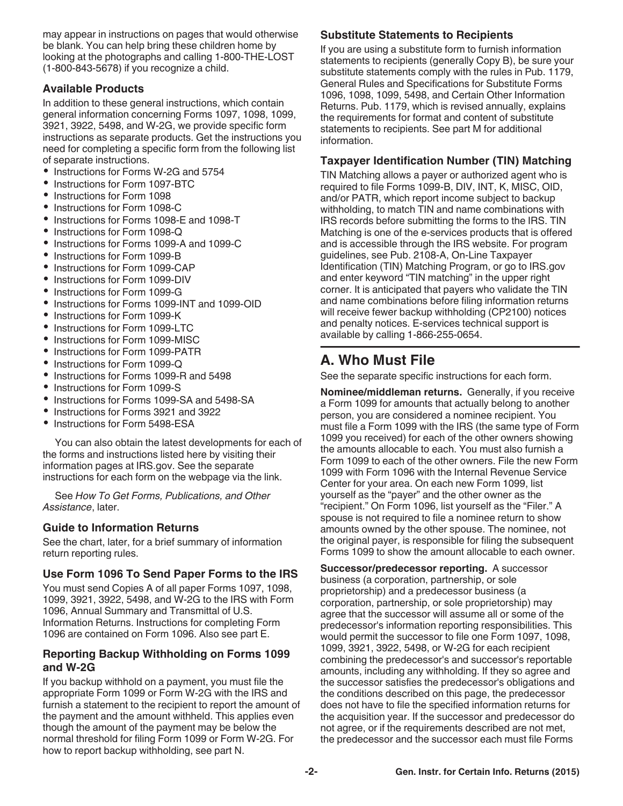<span id="page-1-0"></span>may appear in instructions on pages that would otherwise be blank. You can help bring these children home by looking at the photographs and calling 1-800-THE-LOST (1-800-843-5678) if you recognize a child.

### **Available Products**

In addition to these general instructions, which contain general information concerning Forms 1097, 1098, 1099, 3921, 3922, 5498, and W-2G, we provide specific form instructions as separate products. Get the instructions you need for completing a specific form from the following list of separate instructions.

- Instructions for Forms W-2G and 5754
- Instructions for Form 1097-BTC
- Instructions for Form 1098
- Instructions for Form 1098-C
- Instructions for Forms 1098-E and 1098-T
- $\bullet$ Instructions for Form 1098-Q
- Instructions for Forms 1099-A and 1099-C
- Instructions for Form 1099-B
- Instructions for Form 1099-CAP
- $\bullet$ Instructions for Form 1099-DIV
- Instructions for Form 1099-G
- Instructions for Forms 1099-INT and 1099-OID
- Instructions for Form 1099-K
- Instructions for Form 1099-LTC
- $\bullet$ Instructions for Form 1099-MISC
- Instructions for Form 1099-PATR
- Instructions for Form 1099-Q  $\bullet$
- Instructions for Forms 1099-R and 5498
- Instructions for Form 1099-S
- Instructions for Forms 1099-SA and 5498-SA
- Instructions for Forms 3921 and 3922
- Instructions for Form 5498-ESA

You can also obtain the latest developments for each of the forms and instructions listed here by visiting their information pages at IRS.gov. See the separate instructions for each form on the webpage via the link.

See *How To Get Forms, Publications, and Other Assistance*, later.

### **Guide to Information Returns**

See the chart, later, for a brief summary of information return reporting rules.

### **Use Form 1096 To Send Paper Forms to the IRS**

You must send Copies A of all paper Forms 1097, 1098, 1099, 3921, 3922, 5498, and W-2G to the IRS with Form 1096, Annual Summary and Transmittal of U.S. Information Returns. Instructions for completing Form 1096 are contained on Form 1096. Also see part E.

### **Reporting Backup Withholding on Forms 1099 and W2G**

If you backup withhold on a payment, you must file the appropriate Form 1099 or Form W-2G with the IRS and furnish a statement to the recipient to report the amount of the payment and the amount withheld. This applies even though the amount of the payment may be below the normal threshold for filing Form 1099 or Form W-2G. For how to report backup withholding, see part N.

### **Substitute Statements to Recipients**

If you are using a substitute form to furnish information statements to recipients (generally Copy B), be sure your substitute statements comply with the rules in Pub. 1179, General Rules and Specifications for Substitute Forms 1096, 1098, 1099, 5498, and Certain Other Information Returns. Pub. 1179, which is revised annually, explains the requirements for format and content of substitute statements to recipients. See part M for additional information.

### **Taxpayer Identification Number (TIN) Matching**

TIN Matching allows a payer or authorized agent who is required to file Forms 1099-B, DIV, INT, K, MISC, OID, and/or PATR, which report income subject to backup withholding, to match TIN and name combinations with IRS records before submitting the forms to the IRS. TIN Matching is one of the e-services products that is offered and is accessible through the IRS website. For program guidelines, see Pub. 2108-A, On-Line Taxpayer Identification (TIN) Matching Program, or go to IRS.gov and enter keyword "TIN matching" in the upper right corner. It is anticipated that payers who validate the TIN and name combinations before filing information returns will receive fewer backup withholding (CP2100) notices and penalty notices. E-services technical support is available by calling 1-866-255-0654.

# **A. Who Must File**

See the separate specific instructions for each form.

**Nominee/middleman returns.** Generally, if you receive a Form 1099 for amounts that actually belong to another person, you are considered a nominee recipient. You must file a Form 1099 with the IRS (the same type of Form 1099 you received) for each of the other owners showing the amounts allocable to each. You must also furnish a Form 1099 to each of the other owners. File the new Form 1099 with Form 1096 with the Internal Revenue Service Center for your area. On each new Form 1099, list yourself as the "payer" and the other owner as the "recipient." On Form 1096, list yourself as the "Filer." A spouse is not required to file a nominee return to show amounts owned by the other spouse. The nominee, not the original payer, is responsible for filing the subsequent Forms 1099 to show the amount allocable to each owner.

**Successor/predecessor reporting.** A successor business (a corporation, partnership, or sole proprietorship) and a predecessor business (a corporation, partnership, or sole proprietorship) may agree that the successor will assume all or some of the predecessor's information reporting responsibilities. This would permit the successor to file one Form 1097, 1098, 1099, 3921, 3922, 5498, or W-2G for each recipient combining the predecessor's and successor's reportable amounts, including any withholding. If they so agree and the successor satisfies the predecessor's obligations and the conditions described on this page, the predecessor does not have to file the specified information returns for the acquisition year. If the successor and predecessor do not agree, or if the requirements described are not met, the predecessor and the successor each must file Forms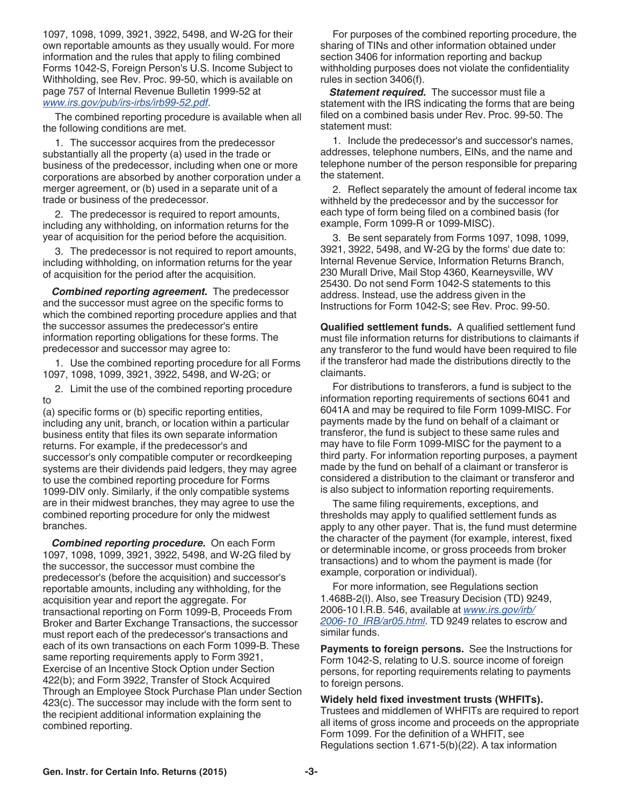<span id="page-2-0"></span>1097, 1098, 1099, 3921, 3922, 5498, and W-2G for their own reportable amounts as they usually would. For more information and the rules that apply to filing combined Forms 1042-S, Foreign Person's U.S. Income Subject to Withholding, see Rev. Proc. 99-50, which is available on page 757 of Internal Revenue Bulletin 1999-52 at *[www.irs.gov/pub/irs-irbs/irb99-52.pdf](http://www.irs.gov/pub/irs-irbs/irb99-52.pdf)*.

The combined reporting procedure is available when all the following conditions are met.

1. The successor acquires from the predecessor substantially all the property (a) used in the trade or business of the predecessor, including when one or more corporations are absorbed by another corporation under a merger agreement, or (b) used in a separate unit of a trade or business of the predecessor.

2. The predecessor is required to report amounts, including any withholding, on information returns for the year of acquisition for the period before the acquisition.

3. The predecessor is not required to report amounts, including withholding, on information returns for the year of acquisition for the period after the acquisition.

*Combined reporting agreement.* The predecessor and the successor must agree on the specific forms to which the combined reporting procedure applies and that the successor assumes the predecessor's entire information reporting obligations for these forms. The predecessor and successor may agree to:

1. Use the combined reporting procedure for all Forms 1097, 1098, 1099, 3921, 3922, 5498, and W-2G; or

2. Limit the use of the combined reporting procedure to

(a) specific forms or (b) specific reporting entities, including any unit, branch, or location within a particular business entity that files its own separate information returns. For example, if the predecessor's and successor's only compatible computer or recordkeeping systems are their dividends paid ledgers, they may agree to use the combined reporting procedure for Forms 1099-DIV only. Similarly, if the only compatible systems are in their midwest branches, they may agree to use the combined reporting procedure for only the midwest branches.

*Combined reporting procedure.* On each Form 1097, 1098, 1099, 3921, 3922, 5498, and W-2G filed by the successor, the successor must combine the predecessor's (before the acquisition) and successor's reportable amounts, including any withholding, for the acquisition year and report the aggregate. For transactional reporting on Form 1099-B, Proceeds From Broker and Barter Exchange Transactions, the successor must report each of the predecessor's transactions and each of its own transactions on each Form 1099-B. These same reporting requirements apply to Form 3921, Exercise of an Incentive Stock Option under Section 422(b); and Form 3922, Transfer of Stock Acquired Through an Employee Stock Purchase Plan under Section 423(c). The successor may include with the form sent to the recipient additional information explaining the combined reporting.

For purposes of the combined reporting procedure, the sharing of TINs and other information obtained under section 3406 for information reporting and backup withholding purposes does not violate the confidentiality rules in section 3406(f).

**Statement required.** The successor must file a statement with the IRS indicating the forms that are being filed on a combined basis under Rev. Proc. 99-50. The statement must:

1. Include the predecessor's and successor's names, addresses, telephone numbers, EINs, and the name and telephone number of the person responsible for preparing the statement.

2. Reflect separately the amount of federal income tax withheld by the predecessor and by the successor for each type of form being filed on a combined basis (for example, Form 1099-R or 1099-MISC).

3. Be sent separately from Forms 1097, 1098, 1099, 3921, 3922, 5498, and W-2G by the forms' due date to: Internal Revenue Service, Information Returns Branch, 230 Murall Drive, Mail Stop 4360, Kearneysville, WV 25430. Do not send Form 1042-S statements to this address. Instead, use the address given in the Instructions for Form 1042-S; see Rev. Proc. 99-50.

**Qualified settlement funds.** A qualified settlement fund must file information returns for distributions to claimants if any transferor to the fund would have been required to file if the transferor had made the distributions directly to the claimants.

For distributions to transferors, a fund is subject to the information reporting requirements of sections 6041 and 6041A and may be required to file Form 1099-MISC. For payments made by the fund on behalf of a claimant or transferor, the fund is subject to these same rules and may have to file Form 1099-MISC for the payment to a third party. For information reporting purposes, a payment made by the fund on behalf of a claimant or transferor is considered a distribution to the claimant or transferor and is also subject to information reporting requirements.

The same filing requirements, exceptions, and thresholds may apply to qualified settlement funds as apply to any other payer. That is, the fund must determine the character of the payment (for example, interest, fixed or determinable income, or gross proceeds from broker transactions) and to whom the payment is made (for example, corporation or individual).

For more information, see Regulations section 1.468B-2(l). Also, see Treasury Decision (TD) 9249, 2006-10 I.R.B. 546, available at *[www.irs.gov/irb/](http://www.irs.gov/irb/2006-10_IRB/ar05.html) [2006-10\\_IRB/ar05.html](http://www.irs.gov/irb/2006-10_IRB/ar05.html)*. TD 9249 relates to escrow and similar funds.

**Payments to foreign persons.** See the Instructions for Form 1042-S, relating to U.S. source income of foreign persons, for reporting requirements relating to payments to foreign persons.

#### **Widely held fixed investment trusts (WHFITs).**

Trustees and middlemen of WHFITs are required to report all items of gross income and proceeds on the appropriate Form 1099. For the definition of a WHFIT, see Regulations section 1.671-5(b)(22). A tax information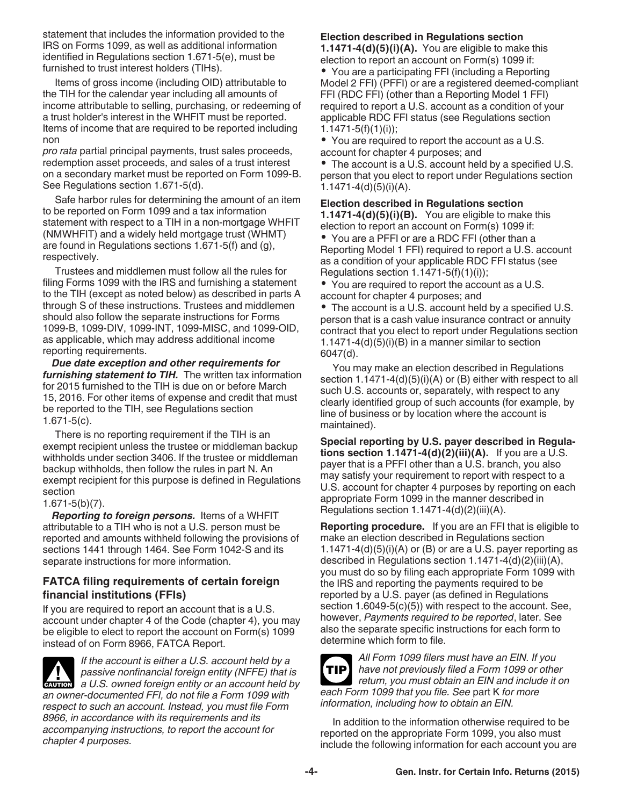<span id="page-3-0"></span>statement that includes the information provided to the IRS on Forms 1099, as well as additional information identified in Regulations section 1.671-5(e), must be furnished to trust interest holders (TIHs).

Items of gross income (including OID) attributable to the TIH for the calendar year including all amounts of income attributable to selling, purchasing, or redeeming of a trust holder's interest in the WHFIT must be reported. Items of income that are required to be reported including non

*pro rata* partial principal payments, trust sales proceeds, redemption asset proceeds, and sales of a trust interest on a secondary market must be reported on Form 1099-B. See Regulations section 1.671-5(d).

Safe harbor rules for determining the amount of an item to be reported on Form 1099 and a tax information statement with respect to a TIH in a non-mortgage WHFIT (NMWHFIT) and a widely held mortgage trust (WHMT) are found in Regulations sections 1.671-5(f) and (g), respectively.

Trustees and middlemen must follow all the rules for filing Forms 1099 with the IRS and furnishing a statement to the TIH (except as noted below) as described in parts A through S of these instructions. Trustees and middlemen should also follow the separate instructions for Forms 1099-B, 1099-DIV, 1099-INT, 1099-MISC, and 1099-OID, as applicable, which may address additional income reporting requirements.

*Due date exception and other requirements for furnishing statement to TIH.* The written tax information for 2015 furnished to the TIH is due on or before March 15, 2016. For other items of expense and credit that must be reported to the TIH, see Regulations section 1.671-5(c).

There is no reporting requirement if the TIH is an exempt recipient unless the trustee or middleman backup withholds under section 3406. If the trustee or middleman backup withholds, then follow the rules in part N. An exempt recipient for this purpose is defined in Regulations section

#### 1.671-5(b)(7).

*Reporting to foreign persons.* Items of a WHFIT attributable to a TIH who is not a U.S. person must be reported and amounts withheld following the provisions of sections 1441 through 1464. See Form 1042-S and its separate instructions for more information.

#### **FATCA filing requirements of certain foreign financial institutions (FFIs)**

If you are required to report an account that is a U.S. account under chapter 4 of the Code (chapter 4), you may be eligible to elect to report the account on Form(s) 1099 instead of on Form 8966, FATCA Report.



#### **Election described in Regulations section 1.1471-4(d)(5)(i)(A).** You are eligible to make this election to report an account on Form(s) 1099 if:

You are a participating FFI (including a Reporting Model 2 FFI) (PFFI) or are a registered deemed-compliant FFI (RDC FFI) (other than a Reporting Model 1 FFI) required to report a U.S. account as a condition of your applicable RDC FFI status (see Regulations section 1.1471-5 $(f)(1)(i)$ ;

You are required to report the account as a U.S. account for chapter 4 purposes; and

The account is a U.S. account held by a specified U.S. person that you elect to report under Regulations section  $1.1471 - 4(d)(5)(i)(A)$ .

### **Election described in Regulations section**

**1.1471-4(d)(5)(i)(B).** You are eligible to make this election to report an account on Form(s) 1099 if:

You are a PFFI or are a RDC FFI (other than a Reporting Model 1 FFI) required to report a U.S. account as a condition of your applicable RDC FFI status (see Regulations section  $1.1471-5(f)(1)(i)$ ;

You are required to report the account as a U.S. account for chapter 4 purposes; and

The account is a U.S. account held by a specified U.S. person that is a cash value insurance contract or annuity contract that you elect to report under Regulations section  $1.1471 - 4(d)(5)(i)(B)$  in a manner similar to section 6047(d).

You may make an election described in Regulations section 1.1471-4(d)(5)(i)(A) or (B) either with respect to all such U.S. accounts or, separately, with respect to any clearly identified group of such accounts (for example, by line of business or by location where the account is maintained).

**Special reporting by U.S. payer described in Regulations section 1.1471-4(d)(2)(iii)(A).** If you are a U.S. payer that is a PFFI other than a U.S. branch, you also may satisfy your requirement to report with respect to a U.S. account for chapter 4 purposes by reporting on each appropriate Form 1099 in the manner described in Regulations section  $1.1471-4(d)(2)(iii)(A)$ .

**Reporting procedure.** If you are an FFI that is eligible to make an election described in Regulations section  $1.1471-4(d)(5)(i)(A)$  or (B) or are a U.S. payer reporting as described in Regulations section 1.1471-4(d)(2)(iii)(A), you must do so by filing each appropriate Form 1099 with the IRS and reporting the payments required to be reported by a U.S. payer (as defined in Regulations section 1.6049-5(c)(5)) with respect to the account. See, however, *Payments required to be reported*, later. See also the separate specific instructions for each form to determine which form to file.



*All Form 1099 filers must have an EIN. If you have not previously filed a Form 1099 or other return, you must obtain an EIN and include it on each Form 1099 that you file. See* part K *for more information, including how to obtain an EIN.*

In addition to the information otherwise required to be reported on the appropriate Form 1099, you also must include the following information for each account you are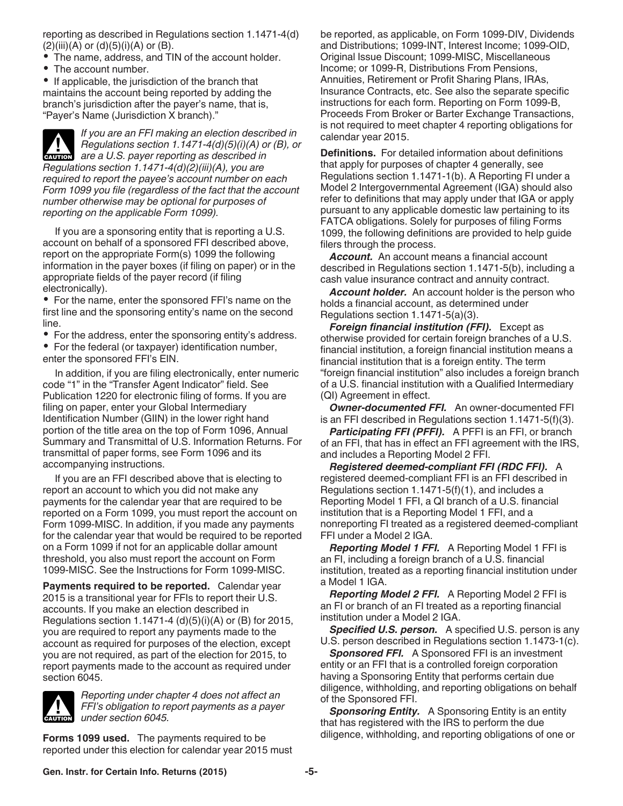reporting as described in Regulations section 1.1471-4(d)  $(2)(iii)(A)$  or  $(d)(5)(i)(A)$  or  $(B)$ .

The name, address, and TIN of the account holder.

• The account number.

• If applicable, the jurisdiction of the branch that maintains the account being reported by adding the branch's jurisdiction after the payer's name, that is, "Payer's Name (Jurisdiction X branch)."

*If you are an FFI making an election described in Regulations section 1.1471-4(d)(5)(i)(A) or (B), or A <i>Aegulations section 1.1471-4(d)(5)(i)(A) of are a U.S. payer reporting as described in Regulations section 1.1471-4(d)(2)(iii)(A), you are required to report the payee's account number on each Form 1099 you file (regardless of the fact that the account number otherwise may be optional for purposes of reporting on the applicable Form 1099).*

If you are a sponsoring entity that is reporting a U.S. account on behalf of a sponsored FFI described above, report on the appropriate Form(s) 1099 the following information in the payer boxes (if filing on paper) or in the appropriate fields of the payer record (if filing electronically).

• For the name, enter the sponsored FFI's name on the first line and the sponsoring entity's name on the second line.

For the address, enter the sponsoring entity's address.

• For the federal (or taxpayer) identification number, enter the sponsored FFI's EIN.

In addition, if you are filing electronically, enter numeric code "1" in the "Transfer Agent Indicator" field. See Publication 1220 for electronic filing of forms. If you are filing on paper, enter your Global Intermediary Identification Number (GIIN) in the lower right hand portion of the title area on the top of Form 1096, Annual Summary and Transmittal of U.S. Information Returns. For transmittal of paper forms, see Form 1096 and its accompanying instructions.

If you are an FFI described above that is electing to report an account to which you did not make any payments for the calendar year that are required to be reported on a Form 1099, you must report the account on Form 1099-MISC. In addition, if you made any payments for the calendar year that would be required to be reported on a Form 1099 if not for an applicable dollar amount threshold, you also must report the account on Form 1099-MISC. See the Instructions for Form 1099-MISC.

**Payments required to be reported.** Calendar year 2015 is a transitional year for FFIs to report their U.S. accounts. If you make an election described in Regulations section 1.1471-4  $(d)(5)(i)(A)$  or  $(B)$  for 2015, you are required to report any payments made to the account as required for purposes of the election, except you are not required, as part of the election for 2015, to report payments made to the account as required under section 6045.



*Reporting under chapter 4 does not affect an FFI's obligation to report payments as a payer under section 6045.*

**Forms 1099 used.** The payments required to be reported under this election for calendar year 2015 must be reported, as applicable, on Form 1099-DIV, Dividends and Distributions; 1099-INT, Interest Income; 1099-OID, Original Issue Discount; 1099-MISC, Miscellaneous Income; or 1099-R, Distributions From Pensions, Annuities, Retirement or Profit Sharing Plans, IRAs, Insurance Contracts, etc. See also the separate specific instructions for each form. Reporting on Form 1099-B, Proceeds From Broker or Barter Exchange Transactions, is not required to meet chapter 4 reporting obligations for calendar year 2015.

**Definitions.** For detailed information about definitions that apply for purposes of chapter 4 generally, see Regulations section 1.1471-1(b). A Reporting FI under a Model 2 Intergovernmental Agreement (IGA) should also refer to definitions that may apply under that IGA or apply pursuant to any applicable domestic law pertaining to its FATCA obligations. Solely for purposes of filing Forms 1099, the following definitions are provided to help guide filers through the process.

*Account.* An account means a financial account described in Regulations section 1.1471-5(b), including a cash value insurance contract and annuity contract.

*Account holder.* An account holder is the person who holds a financial account, as determined under Regulations section 1.1471-5(a)(3).

*Foreign financial institution (FFI).* Except as otherwise provided for certain foreign branches of a U.S. financial institution, a foreign financial institution means a financial institution that is a foreign entity. The term "foreign financial institution" also includes a foreign branch of a U.S. financial institution with a Qualified Intermediary (QI) Agreement in effect.

*Owner-documented FFI.* An owner-documented FFI is an FFI described in Regulations section 1.1471-5(f)(3).

**Participating FFI (PFFI).** A PFFI is an FFI, or branch of an FFI, that has in effect an FFI agreement with the IRS, and includes a Reporting Model 2 FFI.

*Registered deemed-compliant FFI (RDC FFI).* A registered deemed-compliant FFI is an FFI described in Regulations section 1.1471-5(f)(1), and includes a Reporting Model 1 FFI, a QI branch of a U.S. financial institution that is a Reporting Model 1 FFI, and a nonreporting FI treated as a registered deemed-compliant FFI under a Model 2 IGA.

*Reporting Model 1 FFI.* A Reporting Model 1 FFI is an FI, including a foreign branch of a U.S. financial institution, treated as a reporting financial institution under a Model 1 IGA.

*Reporting Model 2 FFI.* A Reporting Model 2 FFI is an FI or branch of an FI treated as a reporting financial institution under a Model 2 IGA.

*Specified U.S. person.* A specified U.S. person is any U.S. person described in Regulations section 1.1473-1(c).

*Sponsored FFI.* A Sponsored FFI is an investment entity or an FFI that is a controlled foreign corporation having a Sponsoring Entity that performs certain due diligence, withholding, and reporting obligations on behalf of the Sponsored FFI.

**Sponsoring Entity.** A Sponsoring Entity is an entity that has registered with the IRS to perform the due diligence, withholding, and reporting obligations of one or

**Gen. Instr. for Certain Info. Returns (2015) 5**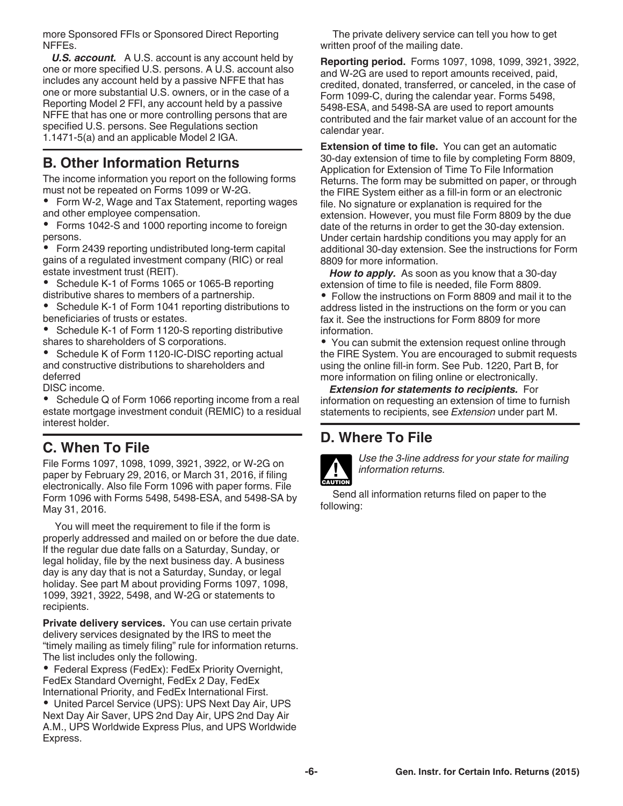<span id="page-5-0"></span>more Sponsored FFIs or Sponsored Direct Reporting NFFEs.

*U.S. account.* A U.S. account is any account held by one or more specified U.S. persons. A U.S. account also includes any account held by a passive NFFE that has one or more substantial U.S. owners, or in the case of a Reporting Model 2 FFI, any account held by a passive NFFE that has one or more controlling persons that are specified U.S. persons. See Regulations section 1.1471-5(a) and an applicable Model 2 IGA.

# **B. Other Information Returns**

The income information you report on the following forms must not be repeated on Forms 1099 or W-2G.

• Form W-2, Wage and Tax Statement, reporting wages and other employee compensation.

• Forms 1042-S and 1000 reporting income to foreign persons.

 Form 2439 reporting undistributed long-term capital gains of a regulated investment company (RIC) or real estate investment trust (REIT).

• Schedule K-1 of Forms 1065 or 1065-B reporting distributive shares to members of a partnership.

 $\bullet$  Schedule K-1 of Form 1041 reporting distributions to beneficiaries of trusts or estates.

٠ Schedule K-1 of Form 1120-S reporting distributive shares to shareholders of S corporations.

• Schedule K of Form 1120-IC-DISC reporting actual and constructive distributions to shareholders and deferred

DISC income.

• Schedule Q of Form 1066 reporting income from a real estate mortgage investment conduit (REMIC) to a residual interest holder.

# **C. When To File**

File Forms 1097, 1098, 1099, 3921, 3922, or W-2G on paper by February 29, 2016, or March 31, 2016, if filing electronically. Also file Form 1096 with paper forms. File Form 1096 with Forms 5498, 5498-ESA, and 5498-SA by May 31, 2016.

You will meet the requirement to file if the form is properly addressed and mailed on or before the due date. If the regular due date falls on a Saturday, Sunday, or legal holiday, file by the next business day. A business day is any day that is not a Saturday, Sunday, or legal holiday. See part M about providing Forms 1097, 1098, 1099, 3921, 3922, 5498, and W-2G or statements to recipients.

**Private delivery services.** You can use certain private delivery services designated by the IRS to meet the "timely mailing as timely filing" rule for information returns. The list includes only the following.

Federal Express (FedEx): FedEx Priority Overnight, FedEx Standard Overnight, FedEx 2 Day, FedEx International Priority, and FedEx International First.

United Parcel Service (UPS): UPS Next Day Air, UPS Next Day Air Saver, UPS 2nd Day Air, UPS 2nd Day Air A.M., UPS Worldwide Express Plus, and UPS Worldwide Express.

The private delivery service can tell you how to get written proof of the mailing date.

**Reporting period.** Forms 1097, 1098, 1099, 3921, 3922, and W-2G are used to report amounts received, paid, credited, donated, transferred, or canceled, in the case of Form 1099-C, during the calendar year. Forms 5498, 5498-ESA, and 5498-SA are used to report amounts contributed and the fair market value of an account for the calendar year.

**Extension of time to file.** You can get an automatic 30-day extension of time to file by completing Form 8809, Application for Extension of Time To File Information Returns. The form may be submitted on paper, or through the FIRE System either as a fill-in form or an electronic file. No signature or explanation is required for the extension. However, you must file Form 8809 by the due date of the returns in order to get the 30-day extension. Under certain hardship conditions you may apply for an additional 30-day extension. See the instructions for Form 8809 for more information.

*How to apply.* As soon as you know that a 30-day extension of time to file is needed, file Form 8809.

Follow the instructions on Form 8809 and mail it to the address listed in the instructions on the form or you can fax it. See the instructions for Form 8809 for more information.

• You can submit the extension request online through the FIRE System. You are encouraged to submit requests using the online fill-in form. See Pub. 1220, Part B, for more information on filing online or electronically.

*Extension for statements to recipients.* For information on requesting an extension of time to furnish statements to recipients, see *Extension* under part M.

### **D. Where To File**



*Use the 3-line address for your state for mailing information returns.*

Send all information returns filed on paper to the following: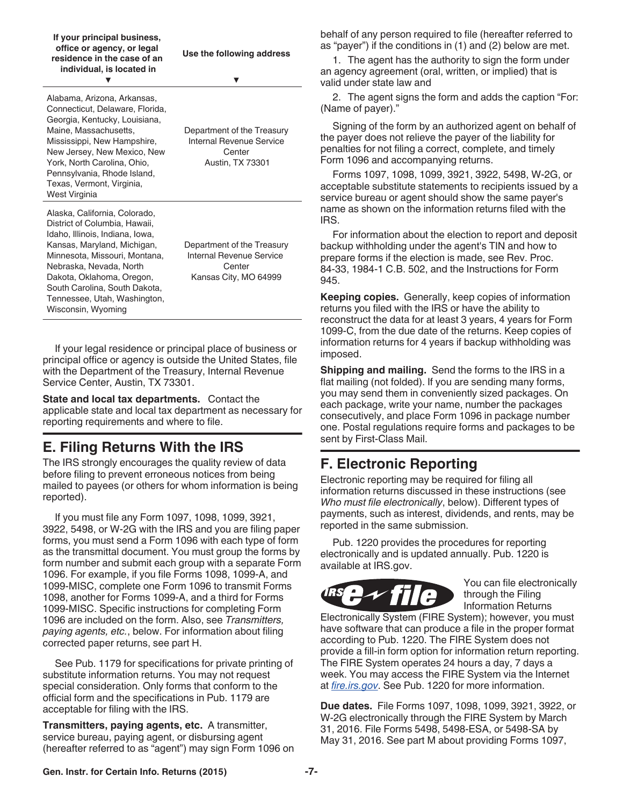<span id="page-6-0"></span>

| If your principal business,<br>office or agency, or legal<br>residence in the case of an<br>individual, is located in                                                                                                                                                                                            | Use the following address<br>▼                                                            |
|------------------------------------------------------------------------------------------------------------------------------------------------------------------------------------------------------------------------------------------------------------------------------------------------------------------|-------------------------------------------------------------------------------------------|
| Alabama, Arizona, Arkansas,<br>Connecticut, Delaware, Florida,<br>Georgia, Kentucky, Louisiana,<br>Maine, Massachusetts,<br>Mississippi, New Hampshire,<br>New Jersey, New Mexico, New<br>York, North Carolina, Ohio,<br>Pennsylvania, Rhode Island,<br>Texas, Vermont, Virginia,<br>West Virginia               | Department of the Treasury<br>Internal Revenue Service<br>Center<br>Austin, TX 73301      |
| Alaska, California, Colorado,<br>District of Columbia, Hawaii,<br>Idaho, Illinois, Indiana, Iowa,<br>Kansas, Maryland, Michigan,<br>Minnesota, Missouri, Montana,<br>Nebraska, Nevada, North<br>Dakota, Oklahoma, Oregon,<br>South Carolina, South Dakota,<br>Tennessee, Utah, Washington,<br>Wisconsin, Wyoming | Department of the Treasury<br>Internal Revenue Service<br>Center<br>Kansas City, MO 64999 |

If your legal residence or principal place of business or principal office or agency is outside the United States, file with the Department of the Treasury, Internal Revenue Service Center, Austin, TX 73301.

**State and local tax departments.** Contact the applicable state and local tax department as necessary for reporting requirements and where to file.

### **E. Filing Returns With the IRS**

The IRS strongly encourages the quality review of data before filing to prevent erroneous notices from being mailed to payees (or others for whom information is being reported).

If you must file any Form 1097, 1098, 1099, 3921, 3922, 5498, or W-2G with the IRS and you are filing paper forms, you must send a Form 1096 with each type of form as the transmittal document. You must group the forms by form number and submit each group with a separate Form 1096. For example, if you file Forms 1098, 1099-A, and 1099-MISC, complete one Form 1096 to transmit Forms 1098, another for Forms 1099-A, and a third for Forms 1099-MISC. Specific instructions for completing Form 1096 are included on the form. Also, see *Transmitters, paying agents, etc.*, below. For information about filing corrected paper returns, see part H.

See Pub. 1179 for specifications for private printing of substitute information returns. You may not request special consideration. Only forms that conform to the official form and the specifications in Pub. 1179 are acceptable for filing with the IRS.

**Transmitters, paying agents, etc.** A transmitter, service bureau, paying agent, or disbursing agent (hereafter referred to as "agent") may sign Form 1096 on behalf of any person required to file (hereafter referred to as "payer") if the conditions in (1) and (2) below are met.

1. The agent has the authority to sign the form under an agency agreement (oral, written, or implied) that is valid under state law and

2. The agent signs the form and adds the caption "For: (Name of payer)."

Signing of the form by an authorized agent on behalf of the payer does not relieve the payer of the liability for penalties for not filing a correct, complete, and timely Form 1096 and accompanying returns.

Forms 1097, 1098, 1099, 3921, 3922, 5498, W-2G, or acceptable substitute statements to recipients issued by a service bureau or agent should show the same payer's name as shown on the information returns filed with the IRS.

For information about the election to report and deposit backup withholding under the agent's TIN and how to prepare forms if the election is made, see Rev. Proc. 84-33, 1984-1 C.B. 502, and the Instructions for Form 945.

**Keeping copies.** Generally, keep copies of information returns you filed with the IRS or have the ability to reconstruct the data for at least 3 years, 4 years for Form 1099-C, from the due date of the returns. Keep copies of information returns for 4 years if backup withholding was imposed.

**Shipping and mailing.** Send the forms to the IRS in a flat mailing (not folded). If you are sending many forms, you may send them in conveniently sized packages. On each package, write your name, number the packages consecutively, and place Form 1096 in package number one. Postal regulations require forms and packages to be sent by First-Class Mail.

# **F. Electronic Reporting**

Electronic reporting may be required for filing all information returns discussed in these instructions (see *Who must file electronically*, below). Different types of payments, such as interest, dividends, and rents, may be reported in the same submission.

Pub. 1220 provides the procedures for reporting electronically and is updated annually. Pub. 1220 is available at IRS.gov.



You can file electronically through the Filing Information Returns

Electronically System (FIRE System); however, you must have software that can produce a file in the proper format according to Pub. 1220. The FIRE System does not provide a fill-in form option for information return reporting. The FIRE System operates 24 hours a day, 7 days a week. You may access the FIRE System via the Internet at *[fire.irs.gov](http://fire.irs.gov)*. See Pub. 1220 for more information.

**Due dates.** File Forms 1097, 1098, 1099, 3921, 3922, or W-2G electronically through the FIRE System by March 31, 2016. File Forms 5498, 5498-ESA, or 5498-SA by May 31, 2016. See part M about providing Forms 1097,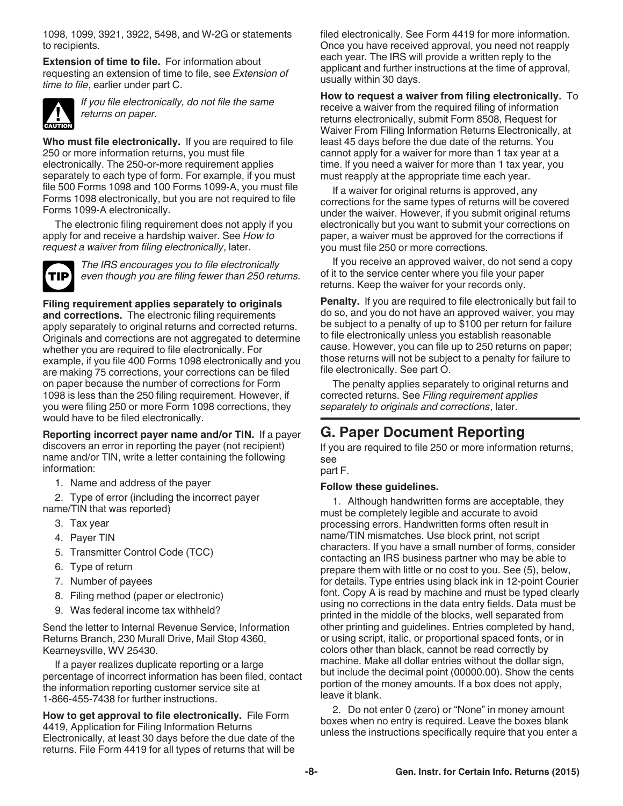<span id="page-7-0"></span>1098, 1099, 3921, 3922, 5498, and W-2G or statements to recipients.

**Extension of time to file.** For information about requesting an extension of time to file, see *Extension of time to file*, earlier under part C.



*If you file electronically, do not file the same returns on paper.*

**Who must file electronically.** If you are required to file 250 or more information returns, you must file electronically. The 250-or-more requirement applies separately to each type of form. For example, if you must file 500 Forms 1098 and 100 Forms 1099-A, you must file Forms 1098 electronically, but you are not required to file Forms 1099-A electronically.

The electronic filing requirement does not apply if you apply for and receive a hardship waiver. See *How to request a waiver from filing electronically*, later.



*The IRS encourages you to file electronically even though you are filing fewer than 250 returns.*

**Filing requirement applies separately to originals and corrections.** The electronic filing requirements apply separately to original returns and corrected returns. Originals and corrections are not aggregated to determine whether you are required to file electronically. For example, if you file 400 Forms 1098 electronically and you are making 75 corrections, your corrections can be filed on paper because the number of corrections for Form 1098 is less than the 250 filing requirement. However, if you were filing 250 or more Form 1098 corrections, they would have to be filed electronically.

**Reporting incorrect payer name and/or TIN.** If a payer discovers an error in reporting the payer (not recipient) name and/or TIN, write a letter containing the following information:

1. Name and address of the payer

2. Type of error (including the incorrect payer name/TIN that was reported)

- 3. Tax year
- 4. Payer TIN
- 5. Transmitter Control Code (TCC)
- 6. Type of return
- 7. Number of payees
- 8. Filing method (paper or electronic)
- 9. Was federal income tax withheld?

Send the letter to Internal Revenue Service, Information Returns Branch, 230 Murall Drive, Mail Stop 4360, Kearneysville, WV 25430.

If a payer realizes duplicate reporting or a large percentage of incorrect information has been filed, contact the information reporting customer service site at 1-866-455-7438 for further instructions.

**How to get approval to file electronically.** File Form 4419, Application for Filing Information Returns Electronically, at least 30 days before the due date of the returns. File Form 4419 for all types of returns that will be filed electronically. See Form 4419 for more information. Once you have received approval, you need not reapply each year. The IRS will provide a written reply to the applicant and further instructions at the time of approval, usually within 30 days.

**How to request a waiver from filing electronically.** To

receive a waiver from the required filing of information returns electronically, submit Form 8508, Request for Waiver From Filing Information Returns Electronically, at least 45 days before the due date of the returns. You cannot apply for a waiver for more than 1 tax year at a time. If you need a waiver for more than 1 tax year, you must reapply at the appropriate time each year.

If a waiver for original returns is approved, any corrections for the same types of returns will be covered under the waiver. However, if you submit original returns electronically but you want to submit your corrections on paper, a waiver must be approved for the corrections if you must file 250 or more corrections.

If you receive an approved waiver, do not send a copy of it to the service center where you file your paper returns. Keep the waiver for your records only.

**Penalty.** If you are required to file electronically but fail to do so, and you do not have an approved waiver, you may be subject to a penalty of up to \$100 per return for failure to file electronically unless you establish reasonable cause. However, you can file up to 250 returns on paper; those returns will not be subject to a penalty for failure to file electronically. See part O.

The penalty applies separately to original returns and corrected returns. See *Filing requirement applies separately to originals and corrections*, later.

# **G. Paper Document Reporting**

If you are required to file 250 or more information returns, see

part F.

#### **Follow these guidelines.**

1. Although handwritten forms are acceptable, they must be completely legible and accurate to avoid processing errors. Handwritten forms often result in name/TIN mismatches. Use block print, not script characters. If you have a small number of forms, consider contacting an IRS business partner who may be able to prepare them with little or no cost to you. See (5), below, for details. Type entries using black ink in 12-point Courier font. Copy A is read by machine and must be typed clearly using no corrections in the data entry fields. Data must be printed in the middle of the blocks, well separated from other printing and guidelines. Entries completed by hand, or using script, italic, or proportional spaced fonts, or in colors other than black, cannot be read correctly by machine. Make all dollar entries without the dollar sign, but include the decimal point (00000.00). Show the cents portion of the money amounts. If a box does not apply, leave it blank.

2. Do not enter 0 (zero) or "None" in money amount boxes when no entry is required. Leave the boxes blank unless the instructions specifically require that you enter a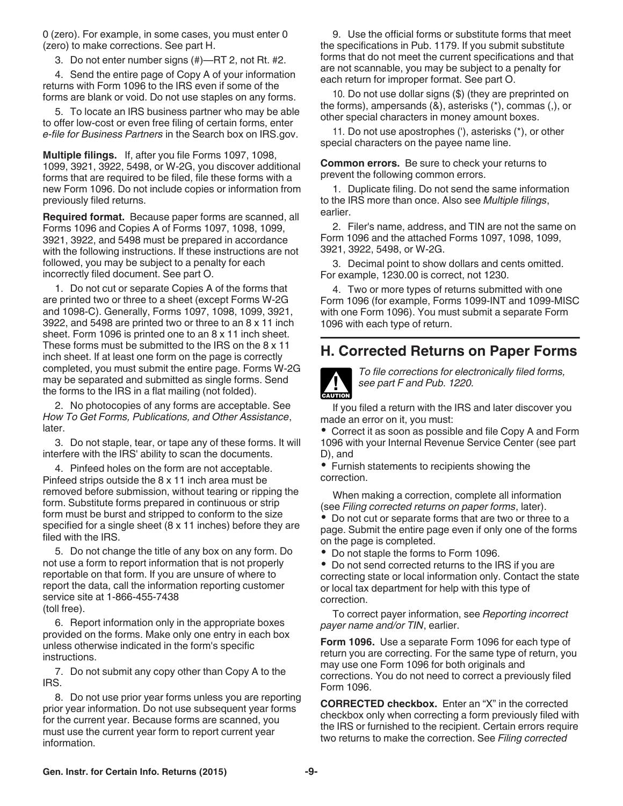<span id="page-8-0"></span>0 (zero). For example, in some cases, you must enter 0 (zero) to make corrections. See part H.

3. Do not enter number signs (#)—RT 2, not Rt. #2.

4. Send the entire page of Copy A of your information returns with Form 1096 to the IRS even if some of the forms are blank or void. Do not use staples on any forms.

5. To locate an IRS business partner who may be able to offer low-cost or even free filing of certain forms, enter *e-file for Business Partners* in the Search box on IRS.gov.

**Multiple filings.** If, after you file Forms 1097, 1098, 1099, 3921, 3922, 5498, or W-2G, you discover additional forms that are required to be filed, file these forms with a new Form 1096. Do not include copies or information from previously filed returns.

**Required format.** Because paper forms are scanned, all Forms 1096 and Copies A of Forms 1097, 1098, 1099, 3921, 3922, and 5498 must be prepared in accordance with the following instructions. If these instructions are not followed, you may be subject to a penalty for each incorrectly filed document. See part O.

1. Do not cut or separate Copies A of the forms that are printed two or three to a sheet (except Forms W-2G and 1098-C). Generally, Forms 1097, 1098, 1099, 3921, 3922, and 5498 are printed two or three to an 8 x 11 inch sheet. Form 1096 is printed one to an 8 x 11 inch sheet. These forms must be submitted to the IRS on the 8 x 11 inch sheet. If at least one form on the page is correctly completed, you must submit the entire page. Forms W-2G may be separated and submitted as single forms. Send the forms to the IRS in a flat mailing (not folded).

2. No photocopies of any forms are acceptable. See *How To Get Forms, Publications, and Other Assistance*, later.

3. Do not staple, tear, or tape any of these forms. It will interfere with the IRS' ability to scan the documents.

4. Pinfeed holes on the form are not acceptable. Pinfeed strips outside the 8 x 11 inch area must be removed before submission, without tearing or ripping the form. Substitute forms prepared in continuous or strip form must be burst and stripped to conform to the size specified for a single sheet (8 x 11 inches) before they are filed with the IRS.

5. Do not change the title of any box on any form. Do not use a form to report information that is not properly reportable on that form. If you are unsure of where to report the data, call the information reporting customer service site at 1-866-455-7438 (toll free).

6. Report information only in the appropriate boxes provided on the forms. Make only one entry in each box unless otherwise indicated in the form's specific instructions.

7. Do not submit any copy other than Copy A to the IRS.

8. Do not use prior year forms unless you are reporting prior year information. Do not use subsequent year forms for the current year. Because forms are scanned, you must use the current year form to report current year information.

9. Use the official forms or substitute forms that meet the specifications in Pub. 1179. If you submit substitute forms that do not meet the current specifications and that are not scannable, you may be subject to a penalty for each return for improper format. See part O.

10. Do not use dollar signs (\$) (they are preprinted on the forms), ampersands (&), asterisks (\*), commas (,), or other special characters in money amount boxes.

11. Do not use apostrophes ('), asterisks (\*), or other special characters on the payee name line.

**Common errors.** Be sure to check your returns to prevent the following common errors.

1. Duplicate filing. Do not send the same information to the IRS more than once. Also see *Multiple filings*, earlier.

2. Filer's name, address, and TIN are not the same on Form 1096 and the attached Forms 1097, 1098, 1099, 3921, 3922, 5498, or W-2G.

3. Decimal point to show dollars and cents omitted. For example, 1230.00 is correct, not 1230.

4. Two or more types of returns submitted with one Form 1096 (for example, Forms 1099-INT and 1099-MISC with one Form 1096). You must submit a separate Form 1096 with each type of return.

### **H. Corrected Returns on Paper Forms**



*To file corrections for electronically filed forms, see part F and Pub. 1220.*

If you filed a return with the IRS and later discover you made an error on it, you must:

Correct it as soon as possible and file Copy A and Form 1096 with your Internal Revenue Service Center (see part D), and

Furnish statements to recipients showing the correction.

When making a correction, complete all information (see *Filing corrected returns on paper forms*, later).

• Do not cut or separate forms that are two or three to a page. Submit the entire page even if only one of the forms on the page is completed.

 $\bullet$ Do not staple the forms to Form 1096.

Do not send corrected returns to the IRS if you are correcting state or local information only. Contact the state or local tax department for help with this type of correction.

To correct payer information, see *Reporting incorrect payer name and/or TIN*, earlier.

**Form 1096.** Use a separate Form 1096 for each type of return you are correcting. For the same type of return, you may use one Form 1096 for both originals and corrections. You do not need to correct a previously filed Form 1096.

**CORRECTED checkbox.** Enter an "X" in the corrected checkbox only when correcting a form previously filed with the IRS or furnished to the recipient. Certain errors require two returns to make the correction. See *Filing corrected*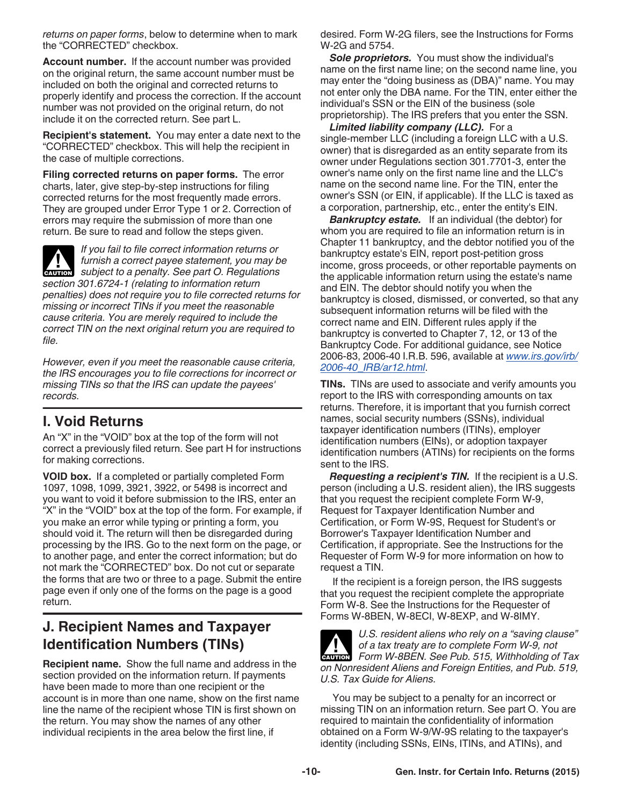<span id="page-9-0"></span>*returns on paper forms*, below to determine when to mark the "CORRECTED" checkbox.

**Account number.** If the account number was provided on the original return, the same account number must be included on both the original and corrected returns to properly identify and process the correction. If the account number was not provided on the original return, do not include it on the corrected return. See part L.

**Recipient's statement.** You may enter a date next to the "CORRECTED" checkbox. This will help the recipient in the case of multiple corrections.

**Filing corrected returns on paper forms.** The error charts, later, give step-by-step instructions for filing corrected returns for the most frequently made errors. They are grouped under Error Type 1 or 2. Correction of errors may require the submission of more than one return. Be sure to read and follow the steps given.

*If you fail to file correct information returns or furnish a correct payee statement, you may be subject to a penalty. See part O. Regulations* **by the** *subject to a penalty. See part O. Regulations section 301.6724-1 (relating to information return penalties) does not require you to file corrected returns for missing or incorrect TINs if you meet the reasonable cause criteria. You are merely required to include the correct TIN on the next original return you are required to file.*

*However, even if you meet the reasonable cause criteria, the IRS encourages you to file corrections for incorrect or missing TINs so that the IRS can update the payees' records.*

### **I. Void Returns**

An "X" in the "VOID" box at the top of the form will not correct a previously filed return. See part H for instructions for making corrections.

**VOID box.** If a completed or partially completed Form 1097, 1098, 1099, 3921, 3922, or 5498 is incorrect and you want to void it before submission to the IRS, enter an "X" in the "VOID" box at the top of the form. For example, if you make an error while typing or printing a form, you should void it. The return will then be disregarded during processing by the IRS. Go to the next form on the page, or to another page, and enter the correct information; but do not mark the "CORRECTED" box. Do not cut or separate the forms that are two or three to a page. Submit the entire page even if only one of the forms on the page is a good return.

# **J. Recipient Names and Taxpayer Identification Numbers (TINs)**

**Recipient name.** Show the full name and address in the section provided on the information return. If payments have been made to more than one recipient or the account is in more than one name, show on the first name line the name of the recipient whose TIN is first shown on the return. You may show the names of any other individual recipients in the area below the first line, if

desired. Form W-2G filers, see the Instructions for Forms W-2G and 5754.

**Sole proprietors.** You must show the individual's name on the first name line; on the second name line, you may enter the "doing business as (DBA)" name. You may not enter only the DBA name. For the TIN, enter either the individual's SSN or the EIN of the business (sole proprietorship). The IRS prefers that you enter the SSN.

*Limited liability company (LLC).* For a single-member LLC (including a foreign LLC with a U.S. owner) that is disregarded as an entity separate from its owner under Regulations section 301.7701-3, enter the owner's name only on the first name line and the LLC's name on the second name line. For the TIN, enter the owner's SSN (or EIN, if applicable). If the LLC is taxed as a corporation, partnership, etc., enter the entity's EIN.

*Bankruptcy estate.* If an individual (the debtor) for whom you are required to file an information return is in Chapter 11 bankruptcy, and the debtor notified you of the bankruptcy estate's EIN, report post-petition gross income, gross proceeds, or other reportable payments on the applicable information return using the estate's name and EIN. The debtor should notify you when the bankruptcy is closed, dismissed, or converted, so that any subsequent information returns will be filed with the correct name and EIN. Different rules apply if the bankruptcy is converted to Chapter 7, 12, or 13 of the Bankruptcy Code. For additional guidance, see Notice 2006-83, 2006-40 I.R.B. 596, available at *[www.irs.gov/irb/](http://www.irs.gov/irb/2006-40_IRB/ar12.html) [2006-40\\_IRB/ar12.html](http://www.irs.gov/irb/2006-40_IRB/ar12.html)*.

**TINs.** TINs are used to associate and verify amounts you report to the IRS with corresponding amounts on tax returns. Therefore, it is important that you furnish correct names, social security numbers (SSNs), individual taxpayer identification numbers (ITINs), employer identification numbers (EINs), or adoption taxpayer identification numbers (ATINs) for recipients on the forms sent to the IRS.

*Requesting a recipient's TIN.* If the recipient is a U.S. person (including a U.S. resident alien), the IRS suggests that you request the recipient complete Form W-9, Request for Taxpayer Identification Number and Certification, or Form W-9S, Request for Student's or Borrower's Taxpayer Identification Number and Certification, if appropriate. See the Instructions for the Requester of Form W-9 for more information on how to request a TIN.

If the recipient is a foreign person, the IRS suggests that you request the recipient complete the appropriate Form W-8. See the Instructions for the Requester of Forms W-8BEN, W-8ECI, W-8EXP, and W-8IMY.



*U.S. resident aliens who rely on a "saving clause" of a tax treaty are to complete Form W-9, not*  **Form W-8BEN. See Pub. 515, Withholding of Tax <b>CAUTION** *on Nonresident Aliens and Foreign Entities, and Pub. 519, U.S. Tax Guide for Aliens.*

You may be subject to a penalty for an incorrect or missing TIN on an information return. See part O. You are required to maintain the confidentiality of information obtained on a Form W-9/W-9S relating to the taxpayer's identity (including SSNs, EINs, ITINs, and ATINs), and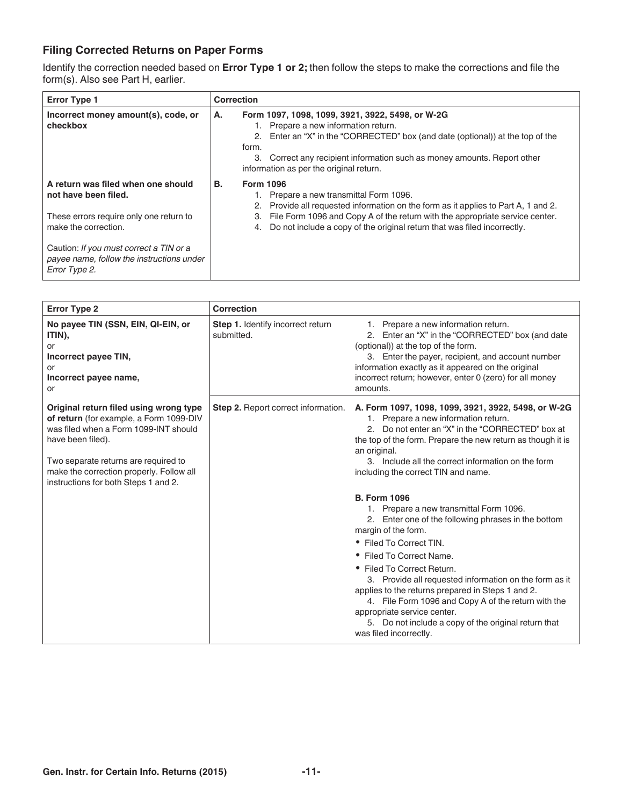### **Filing Corrected Returns on Paper Forms**

Identify the correction needed based on **Error Type 1 or 2;** then follow the steps to make the corrections and file the form(s). Also see Part H, earlier.

| <b>Error Type 1</b>                                                                                                                                                                                                                    | <b>Correction</b>                                                                                                                                                                                                                                                                                                               |
|----------------------------------------------------------------------------------------------------------------------------------------------------------------------------------------------------------------------------------------|---------------------------------------------------------------------------------------------------------------------------------------------------------------------------------------------------------------------------------------------------------------------------------------------------------------------------------|
| Incorrect money amount(s), code, or<br>checkbox                                                                                                                                                                                        | Form 1097, 1098, 1099, 3921, 3922, 5498, or W-2G<br>А.<br>1. Prepare a new information return.<br>2. Enter an "X" in the "CORRECTED" box (and date (optional)) at the top of the<br>form.<br>Correct any recipient information such as money amounts. Report other<br>3.<br>information as per the original return.             |
| A return was filed when one should<br>not have been filed.<br>These errors require only one return to<br>make the correction.<br>Caution: If you must correct a TIN or a<br>payee name, follow the instructions under<br>Error Type 2. | В.<br><b>Form 1096</b><br>Prepare a new transmittal Form 1096.<br>Provide all requested information on the form as it applies to Part A, 1 and 2.<br>2.<br>File Form 1096 and Copy A of the return with the appropriate service center.<br>З.<br>Do not include a copy of the original return that was filed incorrectly.<br>4. |

| <b>Error Type 2</b>                                                                                                                                                                                                                                                         | Correction                                      |                                                                                                                                                                                                                                                                                                                                                                                                                                                                                                                                                                                                                                                                                                                                                                                                                                                      |
|-----------------------------------------------------------------------------------------------------------------------------------------------------------------------------------------------------------------------------------------------------------------------------|-------------------------------------------------|------------------------------------------------------------------------------------------------------------------------------------------------------------------------------------------------------------------------------------------------------------------------------------------------------------------------------------------------------------------------------------------------------------------------------------------------------------------------------------------------------------------------------------------------------------------------------------------------------------------------------------------------------------------------------------------------------------------------------------------------------------------------------------------------------------------------------------------------------|
| No payee TIN (SSN, EIN, QI-EIN, or<br>ITIN),<br>or<br>Incorrect payee TIN,<br>or<br>Incorrect payee name,<br>or                                                                                                                                                             | Step 1. Identify incorrect return<br>submitted. | 1. Prepare a new information return.<br>2. Enter an "X" in the "CORRECTED" box (and date<br>(optional)) at the top of the form.<br>3. Enter the payer, recipient, and account number<br>information exactly as it appeared on the original<br>incorrect return; however, enter 0 (zero) for all money<br>amounts.                                                                                                                                                                                                                                                                                                                                                                                                                                                                                                                                    |
| Original return filed using wrong type<br>of return (for example, a Form 1099-DIV<br>was filed when a Form 1099-INT should<br>have been filed).<br>Two separate returns are required to<br>make the correction properly. Follow all<br>instructions for both Steps 1 and 2. | Step 2. Report correct information.             | A. Form 1097, 1098, 1099, 3921, 3922, 5498, or W-2G<br>Prepare a new information return.<br>2. Do not enter an "X" in the "CORRECTED" box at<br>the top of the form. Prepare the new return as though it is<br>an original.<br>3. Include all the correct information on the form<br>including the correct TIN and name.<br><b>B. Form 1096</b><br>1. Prepare a new transmittal Form 1096.<br>2. Enter one of the following phrases in the bottom<br>margin of the form.<br>• Filed To Correct TIN.<br>• Filed To Correct Name.<br>• Filed To Correct Return.<br>3. Provide all requested information on the form as it<br>applies to the returns prepared in Steps 1 and 2.<br>4. File Form 1096 and Copy A of the return with the<br>appropriate service center.<br>5. Do not include a copy of the original return that<br>was filed incorrectly. |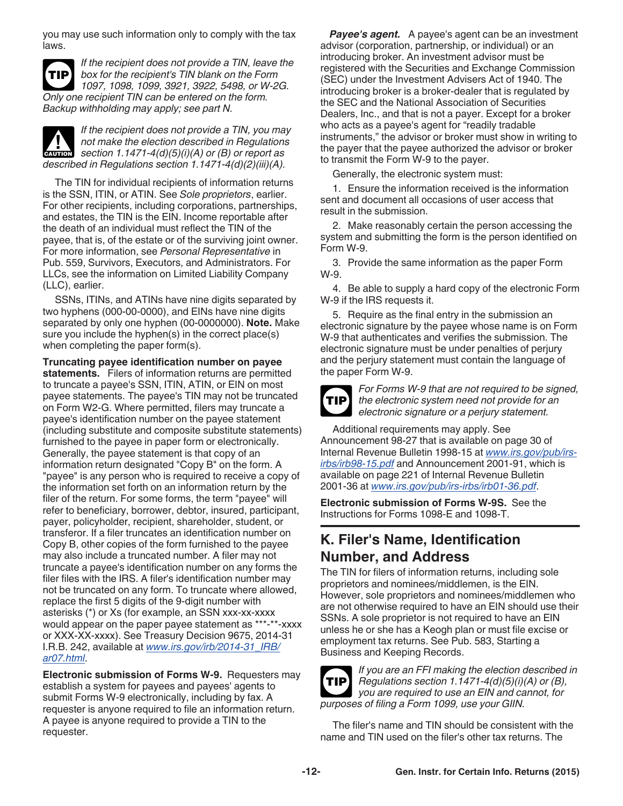<span id="page-11-0"></span>you may use such information only to comply with the tax laws.



*If the recipient does not provide a TIN, leave the box for the recipient's TIN blank on the Form 1097, 1098, 1099, 3921, 3922, 5498, or W-2G. Only one recipient TIN can be entered on the form. Backup withholding may apply; see part N.*

*If the recipient does not provide a TIN, you may not make the election described in Regulations section 1.1471-4(d)(5)(i)(A) or (B) or report as* $\frac{1}{2}$  **as**  $\frac{1}{2}$  **or**  $\frac{1}{2}$  **as**  $\frac{1}{2}$  **as**  $\frac{1}{2}$  **as**  $\frac{1}{2}$  **as**  $\frac{1}{2}$  **as**  $\frac{1}{2}$  **as**  $\frac{1}{2}$  **as**  $\frac{1}{2}$  **as**  $\frac{1}{2}$  **as**  $\frac{1}{2}$  **as**  $\frac{1}{2}$  **as** *described in Regulations section 1.1471-4(d)(2)(iii)(A).*

The TIN for individual recipients of information returns is the SSN, ITIN, or ATIN. See *Sole proprietors*, earlier. For other recipients, including corporations, partnerships, and estates, the TIN is the EIN. Income reportable after the death of an individual must reflect the TIN of the payee, that is, of the estate or of the surviving joint owner. For more information, see *Personal Representative* in Pub. 559, Survivors, Executors, and Administrators. For LLCs, see the information on Limited Liability Company (LLC), earlier.

SSNs, ITINs, and ATINs have nine digits separated by two hyphens (000-00-0000), and EINs have nine digits separated by only one hyphen (00-0000000). **Note.** Make sure you include the hyphen(s) in the correct place(s) when completing the paper form(s).

**Truncating payee identification number on payee statements.** Filers of information returns are permitted to truncate a payee's SSN, ITIN, ATIN, or EIN on most payee statements. The payee's TIN may not be truncated on Form W2-G. Where permitted, filers may truncate a payee's identification number on the payee statement (including substitute and composite substitute statements) furnished to the payee in paper form or electronically. Generally, the payee statement is that copy of an information return designated "Copy B" on the form. A "payee" is any person who is required to receive a copy of the information set forth on an information return by the filer of the return. For some forms, the term "payee" will refer to beneficiary, borrower, debtor, insured, participant, payer, policyholder, recipient, shareholder, student, or transferor. If a filer truncates an identification number on Copy B, other copies of the form furnished to the payee may also include a truncated number. A filer may not truncate a payee's identification number on any forms the filer files with the IRS. A filer's identification number may not be truncated on any form. To truncate where allowed, replace the first 5 digits of the 9-digit number with asterisks (\*) or Xs (for example, an SSN xxx-xx-xxxx would appear on the paper payee statement as \*\*\*-\*\*-xxxx or XXX-XX-xxxx). See Treasury Decision 9675, 2014-31 I.R.B. 242, available at *[www.irs.gov/irb/2014-31\\_IRB/](http://www.irs.gov/irb/2014-31_IRB/ar07.html) [ar07.html](http://www.irs.gov/irb/2014-31_IRB/ar07.html)*.

**Electronic submission of Forms W-9. Requesters may** establish a system for payees and payees' agents to submit Forms W-9 electronically, including by fax. A requester is anyone required to file an information return. A payee is anyone required to provide a TIN to the requester.

*Payee's agent.* A payee's agent can be an investment advisor (corporation, partnership, or individual) or an introducing broker. An investment advisor must be registered with the Securities and Exchange Commission (SEC) under the Investment Advisers Act of 1940. The introducing broker is a broker-dealer that is regulated by the SEC and the National Association of Securities Dealers, Inc., and that is not a payer. Except for a broker who acts as a payee's agent for "readily tradable instruments," the advisor or broker must show in writing to the payer that the payee authorized the advisor or broker to transmit the Form W-9 to the payer.

Generally, the electronic system must:

1. Ensure the information received is the information sent and document all occasions of user access that result in the submission.

2. Make reasonably certain the person accessing the system and submitting the form is the person identified on Form W-9.

3. Provide the same information as the paper Form W-9.

4. Be able to supply a hard copy of the electronic Form W-9 if the IRS requests it.

5. Require as the final entry in the submission an electronic signature by the payee whose name is on Form W-9 that authenticates and verifies the submission. The electronic signature must be under penalties of perjury and the perjury statement must contain the language of the paper Form W-9.



*For Forms W-9 that are not required to be signed, the electronic system need not provide for an electronic signature or a perjury statement.*

Additional requirements may apply. See Announcement 98-27 that is available on page 30 of Internal Revenue Bulletin 1998-15 at *[www.irs.gov/pub/irs](http://www.irs.gov/pub/irs-irbs/irb98-15.pdf)[irbs/irb98-15.pdf](http://www.irs.gov/pub/irs-irbs/irb98-15.pdf)* and Announcement 2001-91, which is available on page 221 of Internal Revenue Bulletin 2001-36 at *[www.irs.gov/pub/irs-irbs/irb01-36.pdf](http://www.irs.gov/pub/irs-irbs/irb01-36.pdf)*.

**Electronic submission of Forms W-9S.** See the Instructions for Forms 1098-E and 1098-T.

# **K. Filer's Name, Identification Number, and Address**

The TIN for filers of information returns, including sole proprietors and nominees/middlemen, is the EIN. However, sole proprietors and nominees/middlemen who are not otherwise required to have an EIN should use their SSNs. A sole proprietor is not required to have an EIN unless he or she has a Keogh plan or must file excise or employment tax returns. See Pub. 583, Starting a Business and Keeping Records.



*If you are an FFI making the election described in Regulations section 1.1471-4(d)(5)(i)(A) or (B), you are required to use an EIN and cannot, for purposes of filing a Form 1099, use your GIIN.*

The filer's name and TIN should be consistent with the name and TIN used on the filer's other tax returns. The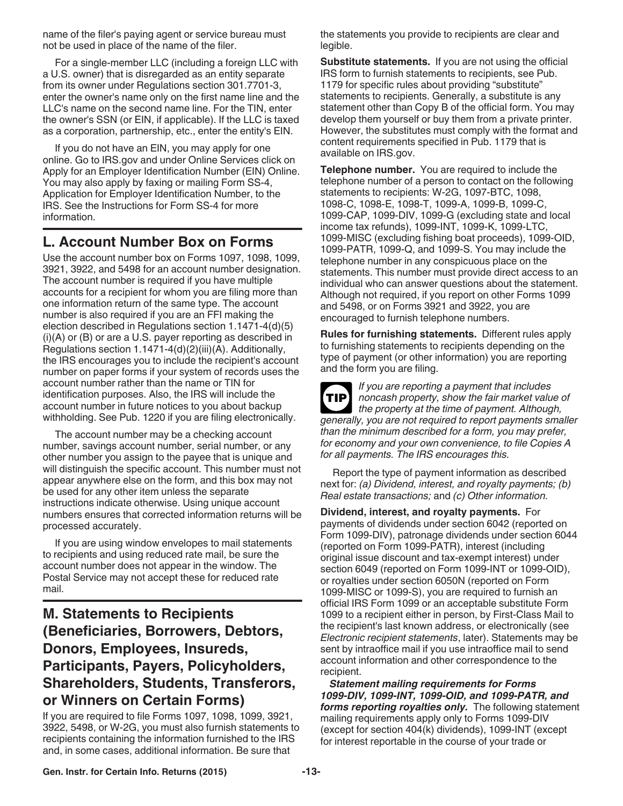<span id="page-12-0"></span>name of the filer's paying agent or service bureau must not be used in place of the name of the filer.

For a single-member LLC (including a foreign LLC with a U.S. owner) that is disregarded as an entity separate from its owner under Regulations section 301.7701-3, enter the owner's name only on the first name line and the LLC's name on the second name line. For the TIN, enter the owner's SSN (or EIN, if applicable). If the LLC is taxed as a corporation, partnership, etc., enter the entity's EIN.

If you do not have an EIN, you may apply for one online. Go to IRS.gov and under Online Services click on Apply for an Employer Identification Number (EIN) Online. You may also apply by faxing or mailing Form SS-4, Application for Employer Identification Number, to the IRS. See the Instructions for Form SS-4 for more information.

# **L. Account Number Box on Forms**

Use the account number box on Forms 1097, 1098, 1099, 3921, 3922, and 5498 for an account number designation. The account number is required if you have multiple accounts for a recipient for whom you are filing more than one information return of the same type. The account number is also required if you are an FFI making the election described in Regulations section 1.1471-4(d)(5) (i)(A) or (B) or are a U.S. payer reporting as described in Regulations section 1.1471-4(d)(2)(iii)(A). Additionally, the IRS encourages you to include the recipient's account number on paper forms if your system of records uses the account number rather than the name or TIN for identification purposes. Also, the IRS will include the account number in future notices to you about backup withholding. See Pub. 1220 if you are filing electronically.

The account number may be a checking account number, savings account number, serial number, or any other number you assign to the payee that is unique and will distinguish the specific account. This number must not appear anywhere else on the form, and this box may not be used for any other item unless the separate instructions indicate otherwise. Using unique account numbers ensures that corrected information returns will be processed accurately.

If you are using window envelopes to mail statements to recipients and using reduced rate mail, be sure the account number does not appear in the window. The Postal Service may not accept these for reduced rate mail.

# **M. Statements to Recipients (Beneficiaries, Borrowers, Debtors, Donors, Employees, Insureds, Participants, Payers, Policyholders, Shareholders, Students, Transferors, or Winners on Certain Forms)**

If you are required to file Forms 1097, 1098, 1099, 3921, 3922, 5498, or W-2G, you must also furnish statements to recipients containing the information furnished to the IRS and, in some cases, additional information. Be sure that

the statements you provide to recipients are clear and legible.

**Substitute statements.** If you are not using the official IRS form to furnish statements to recipients, see Pub. 1179 for specific rules about providing "substitute" statements to recipients. Generally, a substitute is any statement other than Copy B of the official form. You may develop them yourself or buy them from a private printer. However, the substitutes must comply with the format and content requirements specified in Pub. 1179 that is available on IRS.gov.

**Telephone number.** You are required to include the telephone number of a person to contact on the following statements to recipients: W-2G, 1097-BTC, 1098, 1098-C, 1098-E, 1098-T, 1099-A, 1099-B, 1099-C, 1099-CAP, 1099-DIV, 1099-G (excluding state and local income tax refunds), 1099-INT, 1099-K, 1099-LTC, 1099-MISC (excluding fishing boat proceeds), 1099-OID, 1099-PATR, 1099-Q, and 1099-S. You may include the telephone number in any conspicuous place on the statements. This number must provide direct access to an individual who can answer questions about the statement. Although not required, if you report on other Forms 1099 and 5498, or on Forms 3921 and 3922, you are encouraged to furnish telephone numbers.

**Rules for furnishing statements.** Different rules apply to furnishing statements to recipients depending on the type of payment (or other information) you are reporting and the form you are filing.

*If you are reporting a payment that includes noncash property, show the fair market value of the property at the time of payment. Although, generally, you are not required to report payments smaller than the minimum described for a form, you may prefer, for economy and your own convenience, to file Copies A for all payments. The IRS encourages this.* **TIP**

Report the type of payment information as described next for: *(a) Dividend, interest, and royalty payments; (b) Real estate transactions;* and *(c) Other information.*

**Dividend, interest, and royalty payments.** For payments of dividends under section 6042 (reported on Form 1099-DIV), patronage dividends under section 6044 (reported on Form 1099-PATR), interest (including original issue discount and tax-exempt interest) under section 6049 (reported on Form 1099-INT or 1099-OID), or royalties under section 6050N (reported on Form 1099-MISC or 1099-S), you are required to furnish an official IRS Form 1099 or an acceptable substitute Form 1099 to a recipient either in person, by First-Class Mail to the recipient's last known address, or electronically (see *Electronic recipient statements*, later). Statements may be sent by intraoffice mail if you use intraoffice mail to send account information and other correspondence to the recipient.

*Statement mailing requirements for Forms 1099-DIV, 1099-INT, 1099-OID, and 1099-PATR, and forms reporting royalties only.* The following statement mailing requirements apply only to Forms 1099-DIV (except for section 404(k) dividends), 1099-INT (except for interest reportable in the course of your trade or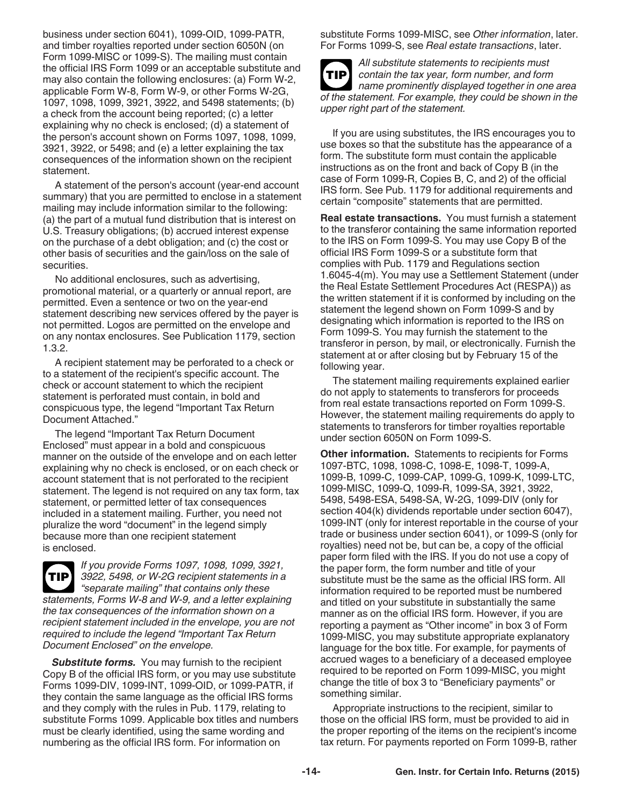<span id="page-13-0"></span>business under section 6041), 1099-OID, 1099-PATR, and timber royalties reported under section 6050N (on Form 1099-MISC or 1099-S). The mailing must contain the official IRS Form 1099 or an acceptable substitute and may also contain the following enclosures: (a) Form W-2, applicable Form W-8, Form W-9, or other Forms W-2G, 1097, 1098, 1099, 3921, 3922, and 5498 statements; (b) a check from the account being reported; (c) a letter explaining why no check is enclosed; (d) a statement of the person's account shown on Forms 1097, 1098, 1099, 3921, 3922, or 5498; and (e) a letter explaining the tax consequences of the information shown on the recipient statement.

A statement of the person's account (year-end account summary) that you are permitted to enclose in a statement mailing may include information similar to the following: (a) the part of a mutual fund distribution that is interest on U.S. Treasury obligations; (b) accrued interest expense on the purchase of a debt obligation; and (c) the cost or other basis of securities and the gain/loss on the sale of securities.

No additional enclosures, such as advertising, promotional material, or a quarterly or annual report, are permitted. Even a sentence or two on the year-end statement describing new services offered by the payer is not permitted. Logos are permitted on the envelope and on any nontax enclosures. See Publication 1179, section 1.3.2.

A recipient statement may be perforated to a check or to a statement of the recipient's specific account. The check or account statement to which the recipient statement is perforated must contain, in bold and conspicuous type, the legend "Important Tax Return Document Attached."

The legend "Important Tax Return Document Enclosed" must appear in a bold and conspicuous manner on the outside of the envelope and on each letter explaining why no check is enclosed, or on each check or account statement that is not perforated to the recipient statement. The legend is not required on any tax form, tax statement, or permitted letter of tax consequences included in a statement mailing. Further, you need not pluralize the word "document" in the legend simply because more than one recipient statement is enclosed.

*If you provide Forms 1097, 1098, 1099, 3921, 3922, 5498, or W-2G recipient statements in a "separate mailing" that contains only these statements, Forms W-8 and W-9, and a letter explaining the tax consequences of the information shown on a recipient statement included in the envelope, you are not required to include the legend "Important Tax Return Document Enclosed" on the envelope.* **TIP**

*Substitute forms.* You may furnish to the recipient Copy B of the official IRS form, or you may use substitute Forms 1099-DIV, 1099-INT, 1099-OID, or 1099-PATR, if they contain the same language as the official IRS forms and they comply with the rules in Pub. 1179, relating to substitute Forms 1099. Applicable box titles and numbers must be clearly identified, using the same wording and numbering as the official IRS form. For information on

substitute Forms 1099-MISC, see *Other information*, later. For Forms 1099-S, see *Real estate transactions*, later.

*All substitute statements to recipients must contain the tax year, form number, and form name prominently displayed together in one area of the statement. For example, they could be shown in the upper right part of the statement.* **TIP**

If you are using substitutes, the IRS encourages you to use boxes so that the substitute has the appearance of a form. The substitute form must contain the applicable instructions as on the front and back of Copy B (in the case of Form 1099-R, Copies B, C, and 2) of the official IRS form. See Pub. 1179 for additional requirements and certain "composite" statements that are permitted.

**Real estate transactions.** You must furnish a statement to the transferor containing the same information reported to the IRS on Form 1099-S. You may use Copy B of the official IRS Form 1099-S or a substitute form that complies with Pub. 1179 and Regulations section 1.6045-4(m). You may use a Settlement Statement (under the Real Estate Settlement Procedures Act (RESPA)) as the written statement if it is conformed by including on the statement the legend shown on Form 1099-S and by designating which information is reported to the IRS on Form 1099-S. You may furnish the statement to the transferor in person, by mail, or electronically. Furnish the statement at or after closing but by February 15 of the following year.

The statement mailing requirements explained earlier do not apply to statements to transferors for proceeds from real estate transactions reported on Form 1099-S. However, the statement mailing requirements do apply to statements to transferors for timber royalties reportable under section 6050N on Form 1099-S.

**Other information.** Statements to recipients for Forms 1097-BTC, 1098, 1098-C, 1098-E, 1098-T, 1099-A, 1099-B, 1099-C, 1099-CAP, 1099-G, 1099-K, 1099-LTC, 1099-MISC, 1099-Q, 1099-R, 1099-SA, 3921, 3922, 5498, 5498-ESA, 5498-SA, W-2G, 1099-DIV (only for section 404(k) dividends reportable under section 6047), 1099-INT (only for interest reportable in the course of your trade or business under section 6041), or 1099-S (only for royalties) need not be, but can be, a copy of the official paper form filed with the IRS. If you do not use a copy of the paper form, the form number and title of your substitute must be the same as the official IRS form. All information required to be reported must be numbered and titled on your substitute in substantially the same manner as on the official IRS form. However, if you are reporting a payment as "Other income" in box 3 of Form 1099-MISC, you may substitute appropriate explanatory language for the box title. For example, for payments of accrued wages to a beneficiary of a deceased employee required to be reported on Form 1099-MISC, you might change the title of box 3 to "Beneficiary payments" or something similar.

Appropriate instructions to the recipient, similar to those on the official IRS form, must be provided to aid in the proper reporting of the items on the recipient's income tax return. For payments reported on Form 1099-B, rather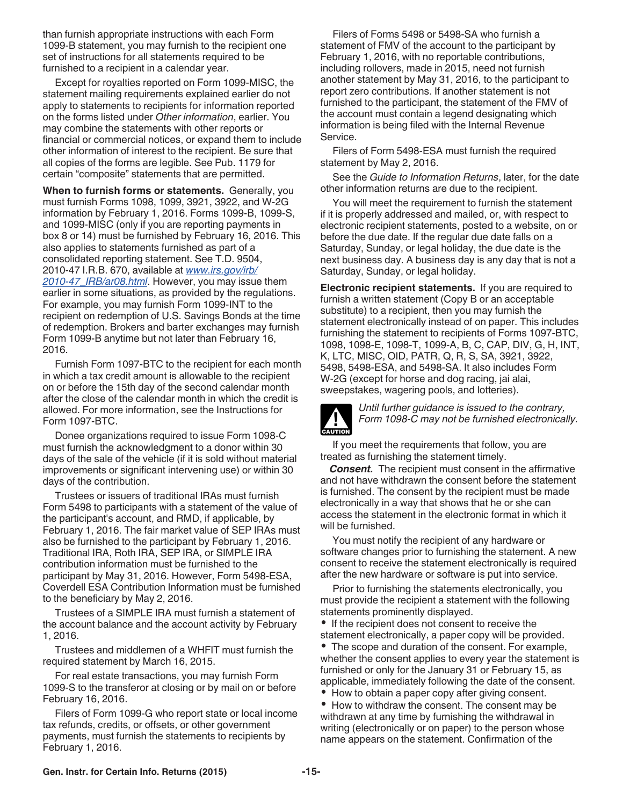<span id="page-14-0"></span>than furnish appropriate instructions with each Form 1099-B statement, you may furnish to the recipient one set of instructions for all statements required to be furnished to a recipient in a calendar year.

Except for royalties reported on Form 1099-MISC, the statement mailing requirements explained earlier do not apply to statements to recipients for information reported on the forms listed under *Other information*, earlier. You may combine the statements with other reports or financial or commercial notices, or expand them to include other information of interest to the recipient. Be sure that all copies of the forms are legible. See Pub. 1179 for certain "composite" statements that are permitted.

**When to furnish forms or statements.** Generally, you must furnish Forms 1098, 1099, 3921, 3922, and W-2G information by February 1, 2016. Forms 1099-B, 1099-S, and 1099-MISC (only if you are reporting payments in box 8 or 14) must be furnished by February 16, 2016. This also applies to statements furnished as part of a consolidated reporting statement. See T.D. 9504, 2010-47 I.R.B. 670, available at *[www.irs.gov/irb/](http://www.irs.gov/irb/2010-47_IRB/ar08.html) [2010-47\\_IRB/ar08.html](http://www.irs.gov/irb/2010-47_IRB/ar08.html)*. However, you may issue them earlier in some situations, as provided by the regulations. For example, you may furnish Form 1099-INT to the recipient on redemption of U.S. Savings Bonds at the time of redemption. Brokers and barter exchanges may furnish Form 1099-B anytime but not later than February 16, 2016.

Furnish Form 1097-BTC to the recipient for each month in which a tax credit amount is allowable to the recipient on or before the 15th day of the second calendar month after the close of the calendar month in which the credit is allowed. For more information, see the Instructions for Form 1097-BTC.

Donee organizations required to issue Form 1098-C must furnish the acknowledgment to a donor within 30 days of the sale of the vehicle (if it is sold without material improvements or significant intervening use) or within 30 days of the contribution.

Trustees or issuers of traditional IRAs must furnish Form 5498 to participants with a statement of the value of the participant's account, and RMD, if applicable, by February 1, 2016. The fair market value of SEP IRAs must also be furnished to the participant by February 1, 2016. Traditional IRA, Roth IRA, SEP IRA, or SIMPLE IRA contribution information must be furnished to the participant by May 31, 2016. However, Form 5498-ESA, Coverdell ESA Contribution Information must be furnished to the beneficiary by May 2, 2016.

Trustees of a SIMPLE IRA must furnish a statement of the account balance and the account activity by February 1, 2016.

Trustees and middlemen of a WHFIT must furnish the required statement by March 16, 2015.

For real estate transactions, you may furnish Form 1099-S to the transferor at closing or by mail on or before February 16, 2016.

Filers of Form 1099-G who report state or local income tax refunds, credits, or offsets, or other government payments, must furnish the statements to recipients by February 1, 2016.

Filers of Forms 5498 or 5498-SA who furnish a statement of FMV of the account to the participant by February 1, 2016, with no reportable contributions, including rollovers, made in 2015, need not furnish another statement by May 31, 2016, to the participant to report zero contributions. If another statement is not furnished to the participant, the statement of the FMV of the account must contain a legend designating which information is being filed with the Internal Revenue Service.

Filers of Form 5498-ESA must furnish the required statement by May 2, 2016.

See the *Guide to Information Returns*, later, for the date other information returns are due to the recipient.

You will meet the requirement to furnish the statement if it is properly addressed and mailed, or, with respect to electronic recipient statements, posted to a website, on or before the due date. If the regular due date falls on a Saturday, Sunday, or legal holiday, the due date is the next business day. A business day is any day that is not a Saturday, Sunday, or legal holiday.

**Electronic recipient statements.** If you are required to furnish a written statement (Copy B or an acceptable substitute) to a recipient, then you may furnish the statement electronically instead of on paper. This includes furnishing the statement to recipients of Forms 1097-BTC, 1098, 1098-E, 1098-T, 1099-A, B, C, CAP, DIV, G, H, INT, K, LTC, MISC, OID, PATR, Q, R, S, SA, 3921, 3922, 5498, 5498-ESA, and 5498-SA. It also includes Form W-2G (except for horse and dog racing, jai alai, sweepstakes, wagering pools, and lotteries).



*Until further guidance is issued to the contrary, Form 1098-C may not be furnished electronically.*

If you meet the requirements that follow, you are treated as furnishing the statement timely.

*Consent.* The recipient must consent in the affirmative and not have withdrawn the consent before the statement is furnished. The consent by the recipient must be made electronically in a way that shows that he or she can access the statement in the electronic format in which it will be furnished.

You must notify the recipient of any hardware or software changes prior to furnishing the statement. A new consent to receive the statement electronically is required after the new hardware or software is put into service.

Prior to furnishing the statements electronically, you must provide the recipient a statement with the following statements prominently displayed.

• If the recipient does not consent to receive the statement electronically, a paper copy will be provided.

The scope and duration of the consent. For example, whether the consent applies to every year the statement is furnished or only for the January 31 or February 15, as applicable, immediately following the date of the consent.

• How to obtain a paper copy after giving consent.

• How to withdraw the consent. The consent may be withdrawn at any time by furnishing the withdrawal in writing (electronically or on paper) to the person whose name appears on the statement. Confirmation of the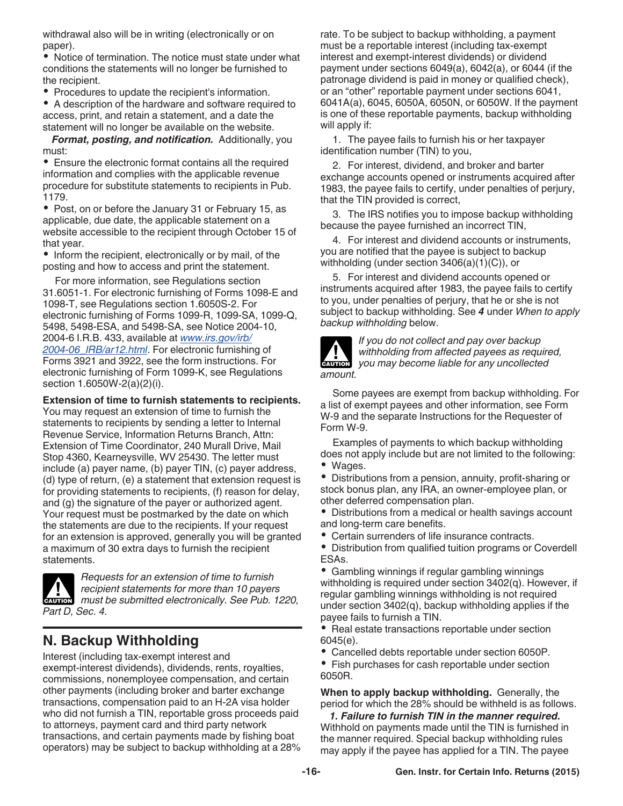<span id="page-15-0"></span>withdrawal also will be in writing (electronically or on paper).

Notice of termination. The notice must state under what conditions the statements will no longer be furnished to the recipient.

• Procedures to update the recipient's information.

A description of the hardware and software required to access, print, and retain a statement, and a date the statement will no longer be available on the website.

*Format, posting, and notification.* Additionally, you must:

Ensure the electronic format contains all the required information and complies with the applicable revenue procedure for substitute statements to recipients in Pub. 1179.

• Post, on or before the January 31 or February 15, as applicable, due date, the applicable statement on a website accessible to the recipient through October 15 of that year.

• Inform the recipient, electronically or by mail, of the posting and how to access and print the statement.

For more information, see Regulations section 31.6051-1. For electronic furnishing of Forms 1098-E and 1098-T, see Regulations section 1.6050S-2. For electronic furnishing of Forms 1099-R, 1099-SA, 1099-Q, 5498, 5498-ESA, and 5498-SA, see Notice 2004-10, 2004-6 I.R.B. 433, available at *[www.irs.gov/irb/](http://www.irs.gov/irb/2004-06_IRB/ar12.html) [2004-06\\_IRB/ar12.html](http://www.irs.gov/irb/2004-06_IRB/ar12.html)*. For electronic furnishing of Forms 3921 and 3922, see the form instructions. For electronic furnishing of Form 1099-K, see Regulations section 1.6050W-2(a)(2)(i).

**Extension of time to furnish statements to recipients.**

You may request an extension of time to furnish the statements to recipients by sending a letter to Internal Revenue Service, Information Returns Branch, Attn: Extension of Time Coordinator, 240 Murall Drive, Mail Stop 4360, Kearneysville, WV 25430. The letter must include (a) payer name, (b) payer TIN, (c) payer address, (d) type of return, (e) a statement that extension request is for providing statements to recipients, (f) reason for delay, and (g) the signature of the payer or authorized agent. Your request must be postmarked by the date on which the statements are due to the recipients. If your request for an extension is approved, generally you will be granted a maximum of 30 extra days to furnish the recipient statements.



*Requests for an extension of time to furnish recipient statements for more than 10 payers*  **Precipient statements for more than 10 payers<br>
must be submitted electronically. See Pub. 1220,** *Part D, Sec. 4.*

# **N. Backup Withholding**

Interest (including tax-exempt interest and exempt-interest dividends), dividends, rents, royalties, commissions, nonemployee compensation, and certain other payments (including broker and barter exchange transactions, compensation paid to an H-2A visa holder who did not furnish a TIN, reportable gross proceeds paid to attorneys, payment card and third party network transactions, and certain payments made by fishing boat operators) may be subject to backup withholding at a 28% rate. To be subject to backup withholding, a payment must be a reportable interest (including tax-exempt interest and exempt-interest dividends) or dividend payment under sections 6049(a), 6042(a), or 6044 (if the patronage dividend is paid in money or qualified check), or an "other" reportable payment under sections 6041, 6041A(a), 6045, 6050A, 6050N, or 6050W. If the payment is one of these reportable payments, backup withholding will apply if:

1. The payee fails to furnish his or her taxpayer identification number (TIN) to you,

2. For interest, dividend, and broker and barter exchange accounts opened or instruments acquired after 1983, the payee fails to certify, under penalties of perjury, that the TIN provided is correct,

3. The IRS notifies you to impose backup withholding because the payee furnished an incorrect TIN,

4. For interest and dividend accounts or instruments, you are notified that the payee is subject to backup withholding (under section 3406(a)(1)(C)), or

5. For interest and dividend accounts opened or instruments acquired after 1983, the payee fails to certify to you, under penalties of perjury, that he or she is not subject to backup withholding. See *4* under *When to apply backup withholding* below.



*If you do not collect and pay over backup withholding from affected payees as required, x* withholding from affected payees as require <br>
you may become liable for any uncollected *amount.*

Some payees are exempt from backup withholding. For a list of exempt payees and other information, see Form W-9 and the separate Instructions for the Requester of Form W-9.

Examples of payments to which backup withholding does not apply include but are not limited to the following: • Wages.

Distributions from a pension, annuity, profit-sharing or stock bonus plan, any IRA, an owner-employee plan, or other deferred compensation plan.

Distributions from a medical or health savings account and long-term care benefits.

Certain surrenders of life insurance contracts.

Distribution from qualified tuition programs or Coverdell ESAs.

Gambling winnings if regular gambling winnings withholding is required under section 3402(q). However, if regular gambling winnings withholding is not required under section 3402(q), backup withholding applies if the payee fails to furnish a TIN.

 $\bullet$ Real estate transactions reportable under section 6045(e).

Cancelled debts reportable under section 6050P.

• Fish purchases for cash reportable under section 6050R.

**When to apply backup withholding.** Generally, the period for which the 28% should be withheld is as follows.

*1. Failure to furnish TIN in the manner required.*  Withhold on payments made until the TIN is furnished in the manner required. Special backup withholding rules may apply if the payee has applied for a TIN. The payee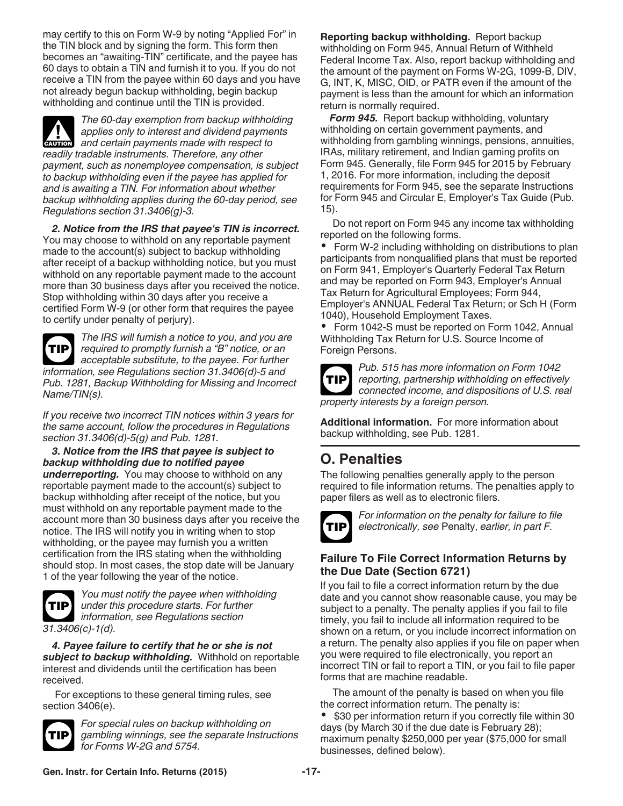<span id="page-16-0"></span>may certify to this on Form W-9 by noting "Applied For" in the TIN block and by signing the form. This form then becomes an "awaiting-TIN" certificate, and the payee has 60 days to obtain a TIN and furnish it to you. If you do not receive a TIN from the payee within 60 days and you have not already begun backup withholding, begin backup withholding and continue until the TIN is provided.

*The 60-day exemption from backup withholding applies only to interest and dividend payments and certain payments made with respect to readily tradable instruments. Therefore, any other payment, such as nonemployee compensation, is subject to backup withholding even if the payee has applied for and is awaiting a TIN. For information about whether backup withholding applies during the 60-day period, see Regulations section 31.3406(g)-3.* **CAUTION !**

*2. Notice from the IRS that payee's TIN is incorrect.*  You may choose to withhold on any reportable payment made to the account(s) subject to backup withholding after receipt of a backup withholding notice, but you must withhold on any reportable payment made to the account more than 30 business days after you received the notice. Stop withholding within 30 days after you receive a certified Form W-9 (or other form that requires the payee to certify under penalty of perjury).

*The IRS will furnish a notice to you, and you are required to promptly furnish a "B" notice, or an acceptable substitute, to the payee. For further information, see Regulations section 31.3406(d)-5 and Pub. 1281, Backup Withholding for Missing and Incorrect Name/TIN(s).* **TIP**

*If you receive two incorrect TIN notices within 3 years for the same account, follow the procedures in Regulations section 31.3406(d)-5(g) and Pub. 1281.*

*3. Notice from the IRS that payee is subject to backup withholding due to notified payee underreporting.* You may choose to withhold on any reportable payment made to the account(s) subject to backup withholding after receipt of the notice, but you must withhold on any reportable payment made to the account more than 30 business days after you receive the notice. The IRS will notify you in writing when to stop withholding, or the payee may furnish you a written certification from the IRS stating when the withholding should stop. In most cases, the stop date will be January 1 of the year following the year of the notice.



*You must notify the payee when withholding under this procedure starts. For further information, see Regulations section 31.3406(c)-1(d).*

*4. Payee failure to certify that he or she is not subject to backup withholding.* Withhold on reportable interest and dividends until the certification has been received.

For exceptions to these general timing rules, see section 3406(e).



*For special rules on backup withholding on gambling winnings, see the separate Instructions for Forms W-2G and 5754.*

**Reporting backup withholding.** Report backup withholding on Form 945, Annual Return of Withheld Federal Income Tax. Also, report backup withholding and the amount of the payment on Forms W-2G, 1099-B, DIV, G, INT, K, MISC, OID, or PATR even if the amount of the payment is less than the amount for which an information return is normally required.

*Form 945.* Report backup withholding, voluntary withholding on certain government payments, and withholding from gambling winnings, pensions, annuities, IRAs, military retirement, and Indian gaming profits on Form 945. Generally, file Form 945 for 2015 by February 1, 2016. For more information, including the deposit requirements for Form 945, see the separate Instructions for Form 945 and Circular E, Employer's Tax Guide (Pub. 15).

Do not report on Form 945 any income tax withholding reported on the following forms.

 Form W-2 including withholding on distributions to plan participants from nonqualified plans that must be reported on Form 941, Employer's Quarterly Federal Tax Return and may be reported on Form 943, Employer's Annual Tax Return for Agricultural Employees; Form 944, Employer's ANNUAL Federal Tax Return; or Sch H (Form 1040), Household Employment Taxes.

 Form 1042-S must be reported on Form 1042, Annual Withholding Tax Return for U.S. Source Income of Foreign Persons.



*Pub. 515 has more information on Form 1042 reporting, partnership withholding on effectively connected income, and dispositions of U.S. real property interests by a foreign person.*

**Additional information.** For more information about backup withholding, see Pub. 1281.

# **O. Penalties**

The following penalties generally apply to the person required to file information returns. The penalties apply to paper filers as well as to electronic filers.



*For information on the penalty for failure to file electronically, see* Penalty, *earlier, in part F.*

### **Failure To File Correct Information Returns by the Due Date (Section 6721)**

If you fail to file a correct information return by the due date and you cannot show reasonable cause, you may be subject to a penalty. The penalty applies if you fail to file timely, you fail to include all information required to be shown on a return, or you include incorrect information on a return. The penalty also applies if you file on paper when you were required to file electronically, you report an incorrect TIN or fail to report a TIN, or you fail to file paper forms that are machine readable.

The amount of the penalty is based on when you file the correct information return. The penalty is:

 \$30 per information return if you correctly file within 30 days (by March 30 if the due date is February 28); maximum penalty \$250,000 per year (\$75,000 for small businesses, defined below).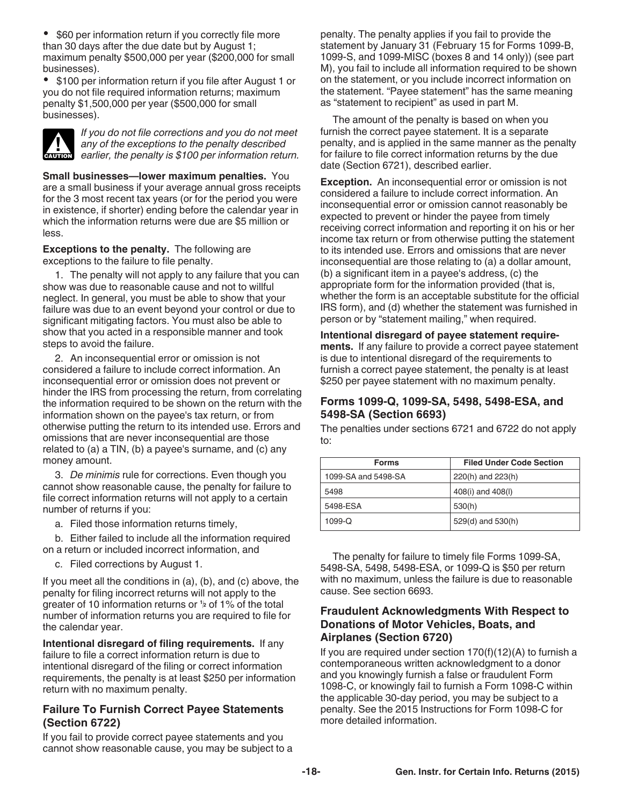• \$60 per information return if you correctly file more than 30 days after the due date but by August 1; maximum penalty \$500,000 per year (\$200,000 for small businesses).

 \$100 per information return if you file after August 1 or you do not file required information returns; maximum penalty \$1,500,000 per year (\$500,000 for small businesses).



*If you do not file corrections and you do not meet any of the exceptions to the penalty described*  **EXECUTION** any of the exceptions to the penalty described<br>earlier, the penalty is \$100 per information return.

**Small businesses—lower maximum penalties.** You are a small business if your average annual gross receipts for the 3 most recent tax years (or for the period you were in existence, if shorter) ending before the calendar year in which the information returns were due are \$5 million or less.

**Exceptions to the penalty.** The following are exceptions to the failure to file penalty.

1. The penalty will not apply to any failure that you can show was due to reasonable cause and not to willful neglect. In general, you must be able to show that your failure was due to an event beyond your control or due to significant mitigating factors. You must also be able to show that you acted in a responsible manner and took steps to avoid the failure.

2. An inconsequential error or omission is not considered a failure to include correct information. An inconsequential error or omission does not prevent or hinder the IRS from processing the return, from correlating the information required to be shown on the return with the information shown on the payee's tax return, or from otherwise putting the return to its intended use. Errors and omissions that are never inconsequential are those related to (a) a TIN, (b) a payee's surname, and (c) any money amount.

3. *De minimis* rule for corrections. Even though you cannot show reasonable cause, the penalty for failure to file correct information returns will not apply to a certain number of returns if you:

a. Filed those information returns timely,

b. Either failed to include all the information required on a return or included incorrect information, and

c. Filed corrections by August 1.

If you meet all the conditions in (a), (b), and (c) above, the penalty for filing incorrect returns will not apply to the greater of 10 information returns or **<sup>1</sup> <sup>2</sup>** of 1% of the total number of information returns you are required to file for the calendar year.

**Intentional disregard of filing requirements.** If any failure to file a correct information return is due to intentional disregard of the filing or correct information requirements, the penalty is at least \$250 per information return with no maximum penalty.

### **Failure To Furnish Correct Payee Statements (Section 6722)**

If you fail to provide correct payee statements and you cannot show reasonable cause, you may be subject to a penalty. The penalty applies if you fail to provide the statement by January 31 (February 15 for Forms 1099-B, 1099-S, and 1099-MISC (boxes 8 and 14 only)) (see part M), you fail to include all information required to be shown on the statement, or you include incorrect information on the statement. "Payee statement" has the same meaning as "statement to recipient" as used in part M.

The amount of the penalty is based on when you furnish the correct payee statement. It is a separate penalty, and is applied in the same manner as the penalty for failure to file correct information returns by the due date (Section 6721), described earlier.

**Exception.** An inconsequential error or omission is not considered a failure to include correct information. An inconsequential error or omission cannot reasonably be expected to prevent or hinder the payee from timely receiving correct information and reporting it on his or her income tax return or from otherwise putting the statement to its intended use. Errors and omissions that are never inconsequential are those relating to (a) a dollar amount, (b) a significant item in a payee's address, (c) the appropriate form for the information provided (that is, whether the form is an acceptable substitute for the official IRS form), and (d) whether the statement was furnished in person or by "statement mailing," when required.

**Intentional disregard of payee statement requirements.** If any failure to provide a correct payee statement is due to intentional disregard of the requirements to furnish a correct payee statement, the penalty is at least \$250 per payee statement with no maximum penalty.

### Forms 1099-Q, 1099-SA, 5498, 5498-ESA, and **5498SA (Section 6693)**

The penalties under sections 6721 and 6722 do not apply to:

| <b>Forms</b>        | <b>Filed Under Code Section</b> |
|---------------------|---------------------------------|
| 1099-SA and 5498-SA | 220(h) and 223(h)               |
| 5498                | 408(i) and 408(l)               |
| 5498-FSA            | 530(h)                          |
| $1099 - Q$          | 529(d) and 530(h)               |

The penalty for failure to timely file Forms 1099-SA, 5498-SA, 5498, 5498-ESA, or 1099-Q is \$50 per return with no maximum, unless the failure is due to reasonable cause. See section 6693.

### **Fraudulent Acknowledgments With Respect to Donations of Motor Vehicles, Boats, and Airplanes (Section 6720)**

If you are required under section  $170(f)(12)(A)$  to furnish a contemporaneous written acknowledgment to a donor and you knowingly furnish a false or fraudulent Form 1098-C, or knowingly fail to furnish a Form 1098-C within the applicable 30-day period, you may be subject to a penalty. See the 2015 Instructions for Form 1098-C for more detailed information.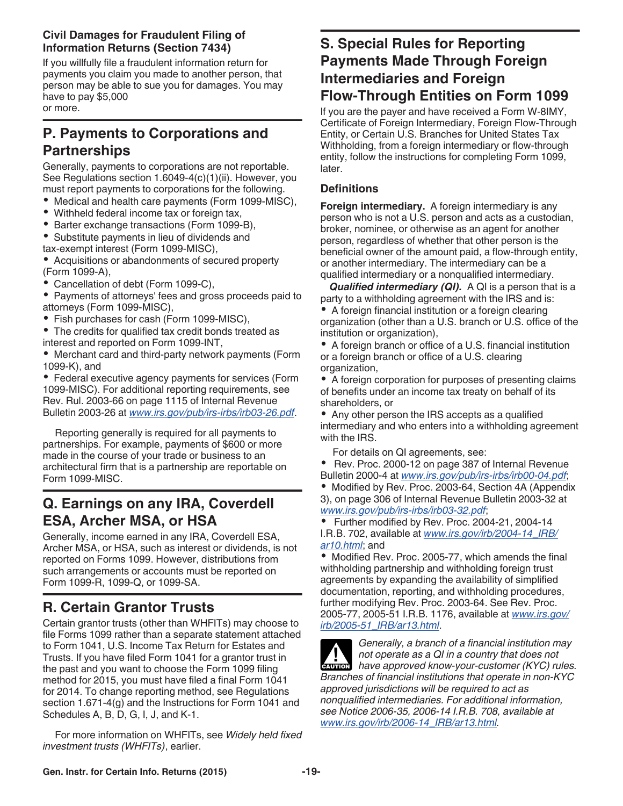### <span id="page-18-0"></span>**Civil Damages for Fraudulent Filing of Information Returns (Section 7434)**

If you willfully file a fraudulent information return for payments you claim you made to another person, that person may be able to sue you for damages. You may have to pay \$5,000

or more.

# **P. Payments to Corporations and Partnerships**

Generally, payments to corporations are not reportable. See Regulations section 1.6049-4(c)(1)(ii). However, you must report payments to corporations for the following.

- Medical and health care payments (Form 1099-MISC),
- Withheld federal income tax or foreign tax,
- Barter exchange transactions (Form 1099-B),

Substitute payments in lieu of dividends and tax-exempt interest (Form 1099-MISC),

Acquisitions or abandonments of secured property (Form 1099-A),

Cancellation of debt (Form 1099-C),

Payments of attorneys' fees and gross proceeds paid to  $\bullet$ attorneys (Form 1099-MISC),

• Fish purchases for cash (Form 1099-MISC),

The credits for qualified tax credit bonds treated as interest and reported on Form 1099-INT,

Merchant card and third-party network payments (Form 1099-K), and

• Federal executive agency payments for services (Form 1099-MISC). For additional reporting requirements, see Rev. Rul. 2003-66 on page 1115 of Internal Revenue Bulletin 2003-26 at *[www.irs.gov/pub/irs-irbs/irb03-26.pdf](http://www.irs.gov/pub/irs-irbs/irb03-26.pdf)*.

Reporting generally is required for all payments to partnerships. For example, payments of \$600 or more made in the course of your trade or business to an architectural firm that is a partnership are reportable on Form 1099-MISC.

# **Q. Earnings on any IRA, Coverdell ESA, Archer MSA, or HSA**

Generally, income earned in any IRA, Coverdell ESA, Archer MSA, or HSA, such as interest or dividends, is not reported on Forms 1099. However, distributions from such arrangements or accounts must be reported on Form 1099-R, 1099-Q, or 1099-SA.

# **R. Certain Grantor Trusts**

Certain grantor trusts (other than WHFITs) may choose to file Forms 1099 rather than a separate statement attached to Form 1041, U.S. Income Tax Return for Estates and Trusts. If you have filed Form 1041 for a grantor trust in the past and you want to choose the Form 1099 filing method for 2015, you must have filed a final Form 1041 for 2014. To change reporting method, see Regulations section 1.671-4(g) and the Instructions for Form 1041 and Schedules A, B, D, G, I, J, and K-1.

For more information on WHFITs, see *Widely held fixed investment trusts (WHFITs)*, earlier.

# **S. Special Rules for Reporting Payments Made Through Foreign Intermediaries and Foreign FlowThrough Entities on Form 1099**

If you are the payer and have received a Form W-8IMY, Certificate of Foreign Intermediary, Foreign Flow-Through Entity, or Certain U.S. Branches for United States Tax Withholding, from a foreign intermediary or flow-through entity, follow the instructions for completing Form 1099, later.

### **Definitions**

**Foreign intermediary.** A foreign intermediary is any person who is not a U.S. person and acts as a custodian, broker, nominee, or otherwise as an agent for another person, regardless of whether that other person is the beneficial owner of the amount paid, a flow-through entity, or another intermediary. The intermediary can be a qualified intermediary or a nonqualified intermediary.

*Qualified intermediary (QI).* A QI is a person that is a party to a withholding agreement with the IRS and is: A foreign financial institution or a foreign clearing

organization (other than a U.S. branch or U.S. office of the institution or organization),

A foreign branch or office of a U.S. financial institution or a foreign branch or office of a U.S. clearing organization,

A foreign corporation for purposes of presenting claims of benefits under an income tax treaty on behalf of its shareholders, or

Any other person the IRS accepts as a qualified intermediary and who enters into a withholding agreement with the IRS.

For details on QI agreements, see:

- Rev. Proc. 2000-12 on page 387 of Internal Revenue Bulletin 2000-4 at *[www.irs.gov/pub/irs-irbs/irb00-04.pdf](http://www.irs.gov/pub/irs-irbs/irb00-04.pdf)*;
- $\bullet$  Modified by Rev. Proc. 2003-64, Section 4A (Appendix 3), on page 306 of Internal Revenue Bulletin 2003-32 at *[www.irs.gov/pub/irs-irbs/irb03-32.pdf](http://www.irs.gov/pub/irs-irbs/irb03-32.pdf)*;

 Further modified by Rev. Proc. 2004-21, 2004-14  $\bullet$ I.R.B. 702, available at *[www.irs.gov/irb/2004-14\\_IRB/](http://www.irs.gov/irb/2004-14_IRB/ar10.html) [ar10.html](http://www.irs.gov/irb/2004-14_IRB/ar10.html)*; and

Modified Rev. Proc. 2005-77, which amends the final withholding partnership and withholding foreign trust agreements by expanding the availability of simplified documentation, reporting, and withholding procedures, further modifying Rev. Proc. 2003-64. See Rev. Proc. 2005-77, 2005-51 I.R.B. 1176, available at *[www.irs.gov/](http://www.irs.gov/irb/2005-51_IRB/ar13.html) [irb/2005-51\\_IRB/ar13.html](http://www.irs.gov/irb/2005-51_IRB/ar13.html)*.

*Generally, a branch of a financial institution may not operate as a QI in a country that does not*  **have approved know-your-customer (KYC) rules.<br>
<b>EXUTION** have approved know-your-customer (KYC) rules. *Branches of financial institutions that operate in non-KYC approved jurisdictions will be required to act as nonqualified intermediaries. For additional information, see Notice 2006-35, 2006-14 I.R.B. 708, available at [www.irs.gov/irb/2006-14\\_IRB/ar13.html](http://www.irs.gov/irb/2006-14_IRB/ar13.html).*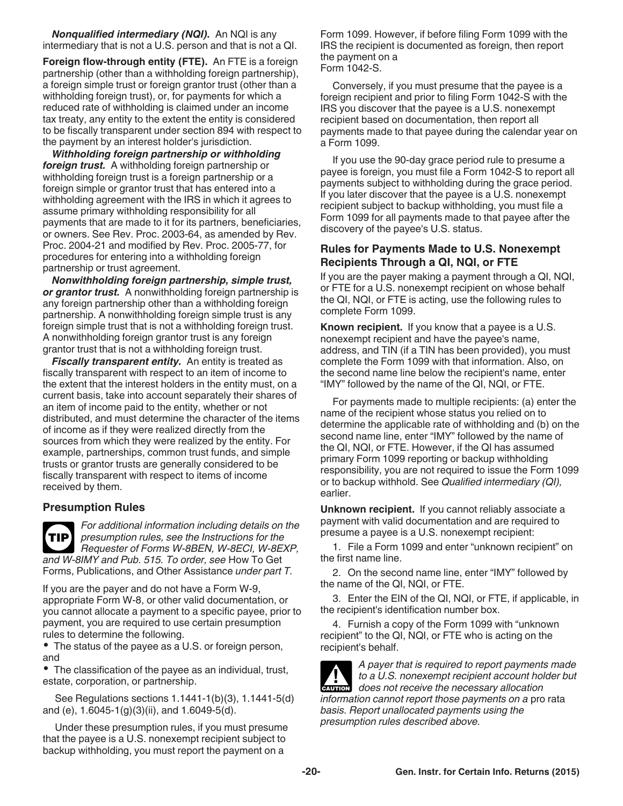<span id="page-19-0"></span>*Nonqualified intermediary (NQI).* An NQI is any intermediary that is not a U.S. person and that is not a QI.

**Foreign flowthrough entity (FTE).** An FTE is a foreign partnership (other than a withholding foreign partnership), a foreign simple trust or foreign grantor trust (other than a withholding foreign trust), or, for payments for which a reduced rate of withholding is claimed under an income tax treaty, any entity to the extent the entity is considered to be fiscally transparent under section 894 with respect to the payment by an interest holder's jurisdiction.

*Withholding foreign partnership or withholding foreign trust.* A withholding foreign partnership or withholding foreign trust is a foreign partnership or a foreign simple or grantor trust that has entered into a withholding agreement with the IRS in which it agrees to assume primary withholding responsibility for all payments that are made to it for its partners, beneficiaries, or owners. See Rev. Proc. 2003-64, as amended by Rev. Proc. 2004-21 and modified by Rev. Proc. 2005-77, for procedures for entering into a withholding foreign partnership or trust agreement.

*Nonwithholding foreign partnership, simple trust, or grantor trust.* A nonwithholding foreign partnership is any foreign partnership other than a withholding foreign partnership. A nonwithholding foreign simple trust is any foreign simple trust that is not a withholding foreign trust. A nonwithholding foreign grantor trust is any foreign grantor trust that is not a withholding foreign trust.

*Fiscally transparent entity.* An entity is treated as fiscally transparent with respect to an item of income to the extent that the interest holders in the entity must, on a current basis, take into account separately their shares of an item of income paid to the entity, whether or not distributed, and must determine the character of the items of income as if they were realized directly from the sources from which they were realized by the entity. For example, partnerships, common trust funds, and simple trusts or grantor trusts are generally considered to be fiscally transparent with respect to items of income received by them.

#### **Presumption Rules**



*For additional information including details on the presumption rules, see the Instructions for the Requester of Forms W-8BEN, W-8ECI, W-8EXP, and W-8IMY and Pub. 515. To order, see* How To Get Forms, Publications, and Other Assistance *under part T.*

If you are the payer and do not have a Form W-9, appropriate Form W-8, or other valid documentation, or you cannot allocate a payment to a specific payee, prior to payment, you are required to use certain presumption rules to determine the following.

The status of the payee as a U.S. or foreign person, and

The classification of the payee as an individual, trust, estate, corporation, or partnership.

See Regulations sections 1.1441-1(b)(3), 1.1441-5(d) and (e), 1.6045-1(g)(3)(ii), and 1.6049-5(d).

Under these presumption rules, if you must presume that the payee is a U.S. nonexempt recipient subject to backup withholding, you must report the payment on a

Form 1099. However, if before filing Form 1099 with the IRS the recipient is documented as foreign, then report the payment on a Form 1042-S.

Conversely, if you must presume that the payee is a foreign recipient and prior to filing Form 1042-S with the IRS you discover that the payee is a U.S. nonexempt recipient based on documentation, then report all payments made to that payee during the calendar year on a Form 1099.

If you use the 90-day grace period rule to presume a payee is foreign, you must file a Form 1042-S to report all payments subject to withholding during the grace period. If you later discover that the payee is a U.S. nonexempt recipient subject to backup withholding, you must file a Form 1099 for all payments made to that payee after the discovery of the payee's U.S. status.

### **Rules for Payments Made to U.S. Nonexempt Recipients Through a QI, NQI, or FTE**

If you are the payer making a payment through a QI, NQI, or FTE for a U.S. nonexempt recipient on whose behalf the QI, NQI, or FTE is acting, use the following rules to complete Form 1099.

**Known recipient.** If you know that a payee is a U.S. nonexempt recipient and have the payee's name, address, and TIN (if a TIN has been provided), you must complete the Form 1099 with that information. Also, on the second name line below the recipient's name, enter "IMY" followed by the name of the QI, NQI, or FTE.

For payments made to multiple recipients: (a) enter the name of the recipient whose status you relied on to determine the applicable rate of withholding and (b) on the second name line, enter "IMY" followed by the name of the QI, NQI, or FTE. However, if the QI has assumed primary Form 1099 reporting or backup withholding responsibility, you are not required to issue the Form 1099 or to backup withhold. See *Qualified intermediary (QI),*  earlier.

**Unknown recipient.** If you cannot reliably associate a payment with valid documentation and are required to presume a payee is a U.S. nonexempt recipient:

1. File a Form 1099 and enter "unknown recipient" on the first name line.

2. On the second name line, enter "IMY" followed by the name of the QI, NQI, or FTE.

3. Enter the EIN of the QI, NQI, or FTE, if applicable, in the recipient's identification number box.

4. Furnish a copy of the Form 1099 with "unknown recipient" to the QI, NQI, or FTE who is acting on the recipient's behalf.

*A payer that is required to report payments made to a U.S. nonexempt recipient account holder but*  **does not receive the necessary allocation**<br> **CAUTION** does not receive the necessary allocation *information cannot report those payments on a* pro rata *basis. Report unallocated payments using the presumption rules described above.*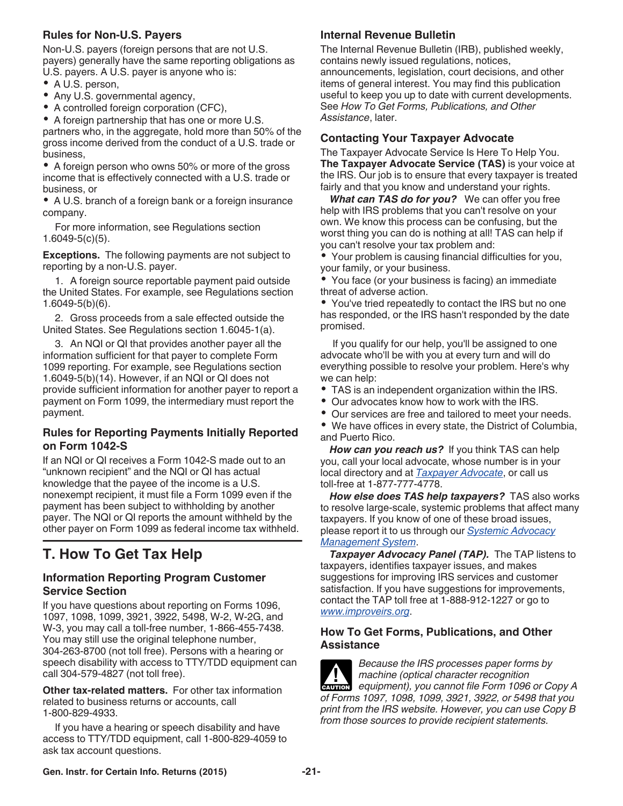### <span id="page-20-0"></span>**Rules for Non-U.S. Payers**

Non-U.S. payers (foreign persons that are not U.S. payers) generally have the same reporting obligations as U.S. payers. A U.S. payer is anyone who is:

- A U.S. person,
- Any U.S. governmental agency,
- A controlled foreign corporation (CFC),

A foreign partnership that has one or more U.S. partners who, in the aggregate, hold more than 50% of the gross income derived from the conduct of a U.S. trade or business,

• A foreign person who owns 50% or more of the gross income that is effectively connected with a U.S. trade or business, or

A U.S. branch of a foreign bank or a foreign insurance company.

For more information, see Regulations section 1.6049-5(c)(5).

**Exceptions.** The following payments are not subject to reporting by a non-U.S. payer.

1. A foreign source reportable payment paid outside the United States. For example, see Regulations section 1.6049-5(b)(6).

2. Gross proceeds from a sale effected outside the United States. See Regulations section 1.6045-1(a).

3. An NQI or QI that provides another payer all the information sufficient for that payer to complete Form 1099 reporting. For example, see Regulations section 1.6049-5(b)(14). However, if an NQI or QI does not provide sufficient information for another payer to report a payment on Form 1099, the intermediary must report the payment.

### **Rules for Reporting Payments Initially Reported on Form 1042S**

If an NQI or QI receives a Form 1042-S made out to an "unknown recipient" and the NQI or QI has actual knowledge that the payee of the income is a U.S. nonexempt recipient, it must file a Form 1099 even if the payment has been subject to withholding by another payer. The NQI or QI reports the amount withheld by the other payer on Form 1099 as federal income tax withheld.

# **T. How To Get Tax Help**

### **Information Reporting Program Customer Service Section**

If you have questions about reporting on Forms 1096, 1097, 1098, 1099, 3921, 3922, 5498, W-2, W-2G, and W-3, you may call a toll-free number, 1-866-455-7438. You may still use the original telephone number, 304-263-8700 (not toll free). Persons with a hearing or speech disability with access to TTY/TDD equipment can call 304-579-4827 (not toll free).

**Other tax-related matters.** For other tax information related to business returns or accounts, call 1-800-829-4933.

If you have a hearing or speech disability and have access to TTY/TDD equipment, call 1-800-829-4059 to ask tax account questions.

### **Internal Revenue Bulletin**

The Internal Revenue Bulletin (IRB), published weekly, contains newly issued regulations, notices, announcements, legislation, court decisions, and other items of general interest. You may find this publication useful to keep you up to date with current developments. See *How To Get Forms, Publications, and Other Assistance*, later.

### **Contacting Your Taxpayer Advocate**

The Taxpayer Advocate Service Is Here To Help You. **The Taxpayer Advocate Service (TAS)** is your voice at the IRS. Our job is to ensure that every taxpayer is treated fairly and that you know and understand your rights.

*What can TAS do for you?* We can offer you free help with IRS problems that you can't resolve on your own. We know this process can be confusing, but the worst thing you can do is nothing at all! TAS can help if you can't resolve your tax problem and:

Your problem is causing financial difficulties for you, your family, or your business.

You face (or your business is facing) an immediate threat of adverse action.

You've tried repeatedly to contact the IRS but no one has responded, or the IRS hasn't responded by the date promised.

If you qualify for our help, you'll be assigned to one advocate who'll be with you at every turn and will do everything possible to resolve your problem. Here's why we can help:

- TAS is an independent organization within the IRS.
- Our advocates know how to work with the IRS.
- Our services are free and tailored to meet your needs.

We have offices in every state, the District of Columbia, and Puerto Rico.

*How can you reach us?* If you think TAS can help you, call your local advocate, whose number is in your local directory and at *[Taxpayer Advocate](http://www.irs.gov/uac/Taxpayer-Advocate-Service-6)*, or call us toll-free at 1-877-777-4778.

*How else does TAS help taxpayers?* TAS also works to resolve large-scale, systemic problems that affect many taxpayers. If you know of one of these broad issues, please report it to us through our *[Systemic Advocacy](http://www.irs.gov/Advocate/Systemic-Advocacy-Management-System-SAMS) [Management System](http://www.irs.gov/Advocate/Systemic-Advocacy-Management-System-SAMS)*.

**Taxpayer Advocacy Panel (TAP).** The TAP listens to taxpayers, identifies taxpayer issues, and makes suggestions for improving IRS services and customer satisfaction. If you have suggestions for improvements, contact the TAP toll free at 1-888-912-1227 or go to *[www.improveirs.org](http://www.improveirs.org/)*.

### **How To Get Forms, Publications, and Other Assistance**

*Because the IRS processes paper forms by machine (optical character recognition*  **Properties And** *equipment***), you cannot file Form 1096 or Copy A** *of Forms 1097, 1098, 1099, 3921, 3922, or 5498 that you print from the IRS website. However, you can use Copy B from those sources to provide recipient statements.*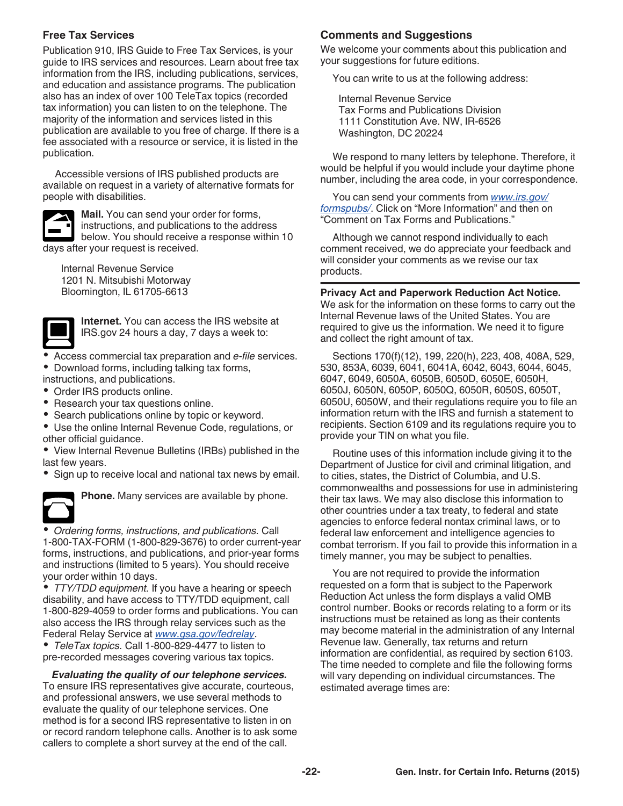### **Free Tax Services**

Publication 910, IRS Guide to Free Tax Services, is your guide to IRS services and resources. Learn about free tax information from the IRS, including publications, services, and education and assistance programs. The publication also has an index of over 100 TeleTax topics (recorded tax information) you can listen to on the telephone. The majority of the information and services listed in this publication are available to you free of charge. If there is a fee associated with a resource or service, it is listed in the publication.

Accessible versions of IRS published products are available on request in a variety of alternative formats for people with disabilities.



**Mail.** You can send your order for forms, instructions, and publications to the address below. You should receive a response within 10 days after your request is received.

Internal Revenue Service 1201 N. Mitsubishi Motorway Bloomington, IL 61705-6613



**Internet.** You can access the IRS website at IRS.gov 24 hours a day, 7 days a week to:

Access commercial tax preparation and *e-file* services. Download forms, including talking tax forms,

- instructions, and publications.
- Order IRS products online.
- Research your tax questions online.
- Search publications online by topic or keyword.

Use the online Internal Revenue Code, regulations, or other official guidance.

• View Internal Revenue Bulletins (IRBs) published in the last few years.

• Sign up to receive local and national tax news by email.

**Phone.** Many services are available by phone.

*Ordering forms, instructions, and publications.* Call 1-800-TAX-FORM (1-800-829-3676) to order current-year forms, instructions, and publications, and prior-year forms and instructions (limited to 5 years). You should receive your order within 10 days.

*TTY/TDD equipment.* If you have a hearing or speech disability, and have access to TTY/TDD equipment, call 1-800-829-4059 to order forms and publications. You can also access the IRS through relay services such as the Federal Relay Service at *[www.gsa.gov/fedrelay](http://www.gsa.gov/fedrelay)*.

*TeleTax topics.* Call 1-800-829-4477 to listen to pre-recorded messages covering various tax topics.

*Evaluating the quality of our telephone services.*  To ensure IRS representatives give accurate, courteous, and professional answers, we use several methods to evaluate the quality of our telephone services. One method is for a second IRS representative to listen in on or record random telephone calls. Another is to ask some callers to complete a short survey at the end of the call.

### **Comments and Suggestions**

We welcome your comments about this publication and your suggestions for future editions.

You can write to us at the following address:

Internal Revenue Service Tax Forms and Publications Division 1111 Constitution Ave. NW, IR-6526 Washington, DC 20224

We respond to many letters by telephone. Therefore, it would be helpful if you would include your daytime phone number, including the area code, in your correspondence.

You can send your comments from *[www.irs.gov/](http://www.irs.gov/formspubs/) [formspubs/](http://www.irs.gov/formspubs/)*. Click on "More Information" and then on "Comment on Tax Forms and Publications."

Although we cannot respond individually to each comment received, we do appreciate your feedback and will consider your comments as we revise our tax products.

#### **Privacy Act and Paperwork Reduction Act Notice.**  We ask for the information on these forms to carry out the Internal Revenue laws of the United States. You are required to give us the information. We need it to figure and collect the right amount of tax.

Sections 170(f)(12), 199, 220(h), 223, 408, 408A, 529, 530, 853A, 6039, 6041, 6041A, 6042, 6043, 6044, 6045, 6047, 6049, 6050A, 6050B, 6050D, 6050E, 6050H, 6050J, 6050N, 6050P, 6050Q, 6050R, 6050S, 6050T, 6050U, 6050W, and their regulations require you to file an information return with the IRS and furnish a statement to recipients. Section 6109 and its regulations require you to provide your TIN on what you file.

Routine uses of this information include giving it to the Department of Justice for civil and criminal litigation, and to cities, states, the District of Columbia, and U.S. commonwealths and possessions for use in administering their tax laws. We may also disclose this information to other countries under a tax treaty, to federal and state agencies to enforce federal nontax criminal laws, or to federal law enforcement and intelligence agencies to combat terrorism. If you fail to provide this information in a timely manner, you may be subject to penalties.

You are not required to provide the information requested on a form that is subject to the Paperwork Reduction Act unless the form displays a valid OMB control number. Books or records relating to a form or its instructions must be retained as long as their contents may become material in the administration of any Internal Revenue law. Generally, tax returns and return information are confidential, as required by section 6103. The time needed to complete and file the following forms will vary depending on individual circumstances. The estimated average times are: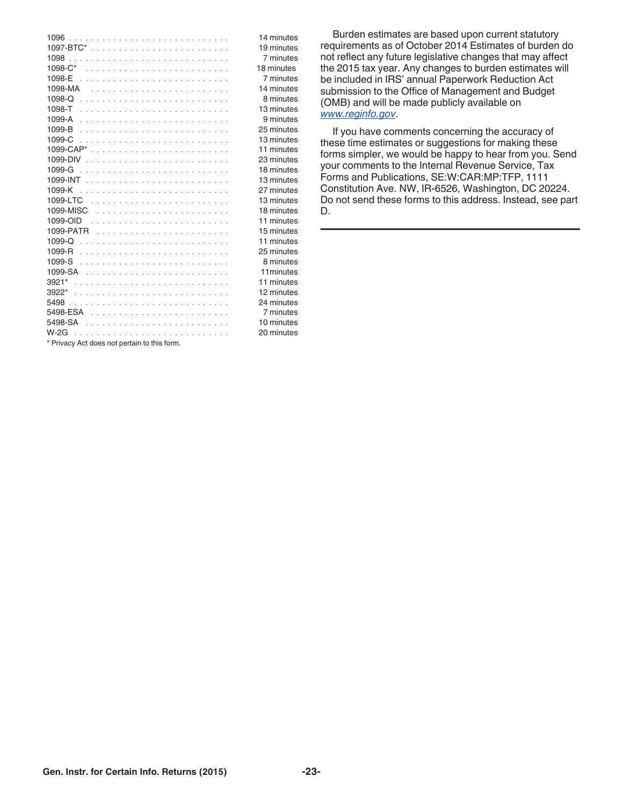|                                             | 14 minutes            |
|---------------------------------------------|-----------------------|
|                                             | 19 minutes            |
|                                             | 7 minutes             |
|                                             | 18 minutes            |
|                                             | 7 minutes             |
|                                             | 14 minutes            |
|                                             | 8 minutes             |
|                                             | 13 minutes            |
|                                             | 9 minutes             |
|                                             | 25 minutes            |
|                                             | 13 minutes            |
|                                             | 11 minutes            |
|                                             | 23 minutes            |
|                                             | 18 minutes            |
|                                             | 13 minutes            |
|                                             | 27 minutes            |
|                                             | 13 minutes            |
|                                             | 18 minutes            |
|                                             | 11 minutes            |
|                                             | 15 minutes            |
|                                             | 11 minutes            |
|                                             | 25 minutes            |
|                                             | 8 minutes             |
|                                             | 11 <sub>minutes</sub> |
|                                             | 11 minutes            |
|                                             | 12 minutes            |
|                                             | 24 minutes            |
|                                             | 7 minutes             |
|                                             | 10 minutes            |
|                                             | 20 minutes            |
| * Privacy Act does not pertain to this form |                       |

Burden estimates are based upon current statutory requirements as of October 2014 Estimates of burden do not reflect any future legislative changes that may affect the 2015 tax year. Any changes to burden estimates will be included in IRS' annual Paperwork Reduction Act submission to the Office of Management and Budget (OMB) and will be made publicly available on *[www.reginfo.gov](http://www.reginfo.gov)*.

If you have comments concerning the accuracy of these time estimates or suggestions for making these forms simpler, we would be happy to hear from you. Send your comments to the Internal Revenue Service, Tax Forms and Publications, SE:W:CAR:MP:TFP, 1111 Constitution Ave. NW, IR-6526, Washington, DC 20224. Do not send these forms to this address. Instead, see part D.

\* Privacy Act does not pertain to this form.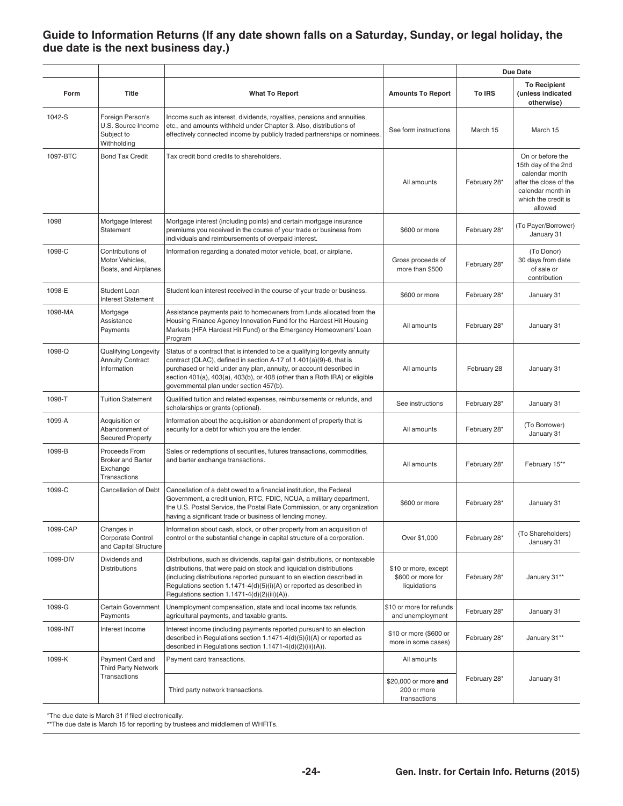### **Guide to Information Returns (If any date shown falls on a Saturday, Sunday, or legal holiday, the due date is the next business day.)**

|          |                                                                              |                                                                                                                                                                                                                                                                                                                                                       |                                                           |               | Due Date                                                                                                                                   |
|----------|------------------------------------------------------------------------------|-------------------------------------------------------------------------------------------------------------------------------------------------------------------------------------------------------------------------------------------------------------------------------------------------------------------------------------------------------|-----------------------------------------------------------|---------------|--------------------------------------------------------------------------------------------------------------------------------------------|
| Form     | <b>Title</b>                                                                 | <b>What To Report</b>                                                                                                                                                                                                                                                                                                                                 | <b>Amounts To Report</b>                                  | <b>To IRS</b> | <b>To Recipient</b><br>(unless indicated<br>otherwise)                                                                                     |
| 1042-S   | Foreign Person's<br>U.S. Source Income<br>Subject to<br>Withholding          | Income such as interest, dividends, royalties, pensions and annuities,<br>etc., and amounts withheld under Chapter 3. Also, distributions of<br>effectively connected income by publicly traded partnerships or nominees.                                                                                                                             | See form instructions                                     | March 15      | March 15                                                                                                                                   |
| 1097-BTC | <b>Bond Tax Credit</b>                                                       | Tax credit bond credits to shareholders.                                                                                                                                                                                                                                                                                                              | All amounts                                               | February 28*  | On or before the<br>15th day of the 2nd<br>calendar month<br>after the close of the<br>calendar month in<br>which the credit is<br>allowed |
| 1098     | Mortgage Interest<br>Statement                                               | Mortgage interest (including points) and certain mortgage insurance<br>premiums you received in the course of your trade or business from<br>individuals and reimbursements of overpaid interest.                                                                                                                                                     | \$600 or more                                             | February 28*  | (To Payer/Borrower)<br>January 31                                                                                                          |
| 1098-C   | Contributions of<br>Motor Vehicles,<br>Boats, and Airplanes                  | Information regarding a donated motor vehicle, boat, or airplane.                                                                                                                                                                                                                                                                                     | Gross proceeds of<br>more than \$500                      | February 28*  | (To Donor)<br>30 days from date<br>of sale or<br>contribution                                                                              |
| 1098-E   | Student Loan<br><b>Interest Statement</b>                                    | Student loan interest received in the course of your trade or business.                                                                                                                                                                                                                                                                               | \$600 or more                                             | February 28*  | January 31                                                                                                                                 |
| 1098-MA  | Mortgage<br>Assistance<br>Payments                                           | Assistance payments paid to homeowners from funds allocated from the<br>Housing Finance Agency Innovation Fund for the Hardest Hit Housing<br>Markets (HFA Hardest Hit Fund) or the Emergency Homeowners' Loan<br>Program                                                                                                                             | All amounts                                               | February 28*  | January 31                                                                                                                                 |
| 1098-Q   | Qualifying Longevity<br><b>Annuity Contract</b><br>Information               | Status of a contract that is intended to be a qualifying longevity annuity<br>contract (QLAC), defined in section A-17 of $1.401(a)(9)$ -6, that is<br>purchased or held under any plan, annuity, or account described in<br>section 401(a), 403(a), 403(b), or 408 (other than a Roth IRA) or eligible<br>governmental plan under section 457(b).    | All amounts                                               | February 28   | January 31                                                                                                                                 |
| 1098-T   | <b>Tuition Statement</b>                                                     | Qualified tuition and related expenses, reimbursements or refunds, and<br>scholarships or grants (optional).                                                                                                                                                                                                                                          | See instructions                                          | February 28*  | January 31                                                                                                                                 |
| 1099-A   | Acquisition or<br>Abandonment of<br><b>Secured Property</b>                  | Information about the acquisition or abandonment of property that is<br>security for a debt for which you are the lender.                                                                                                                                                                                                                             | All amounts                                               | February 28*  | (To Borrower)<br>January 31                                                                                                                |
| 1099-B   | Proceeds From<br><b>Broker and Barter</b><br>Exchange<br><b>Transactions</b> | Sales or redemptions of securities, futures transactions, commodities,<br>and barter exchange transactions.                                                                                                                                                                                                                                           | All amounts                                               | February 28*  | February 15**                                                                                                                              |
| 1099-C   | <b>Cancellation of Debt</b>                                                  | Cancellation of a debt owed to a financial institution, the Federal<br>Government, a credit union, RTC, FDIC, NCUA, a military department,<br>the U.S. Postal Service, the Postal Rate Commission, or any organization<br>having a significant trade or business of lending money.                                                                    | \$600 or more                                             | February 28*  | January 31                                                                                                                                 |
| 1099-CAP | Changes in<br>Corporate Control<br>and Capital Structure                     | Information about cash, stock, or other property from an acquisition of<br>control or the substantial change in capital structure of a corporation.                                                                                                                                                                                                   | Over \$1,000                                              | February 28*  | (To Shareholders)<br>January 31                                                                                                            |
| 1099-DIV | Dividends and<br><b>Distributions</b>                                        | Distributions, such as dividends, capital gain distributions, or nontaxable<br>distributions, that were paid on stock and liquidation distributions<br>(including distributions reported pursuant to an election described in<br>Regulations section 1.1471-4(d)(5)(i)(A) or reported as described in<br>Regulations section 1.1471-4(d)(2)(iii)(A)). | \$10 or more, except<br>\$600 or more for<br>liquidations | February 28*  | January 31**                                                                                                                               |
| 1099-G   | <b>Certain Government</b><br>Payments                                        | Unemployment compensation, state and local income tax refunds,<br>agricultural payments, and taxable grants.                                                                                                                                                                                                                                          | \$10 or more for refunds<br>and unemployment              | February 28*  | January 31                                                                                                                                 |
| 1099-INT | Interest Income                                                              | Interest income (including payments reported pursuant to an election<br>described in Regulations section $1.1471-4(d)(5)(i)(A)$ or reported as<br>described in Regulations section 1.1471-4(d)(2)(iii)(A)).                                                                                                                                           | \$10 or more (\$600 or<br>more in some cases)             | February 28*  | January 31**                                                                                                                               |
| 1099-K   | Payment Card and<br><b>Third Party Network</b>                               | Payment card transactions.                                                                                                                                                                                                                                                                                                                            | All amounts                                               |               |                                                                                                                                            |
|          | <b>Transactions</b>                                                          | Third party network transactions.                                                                                                                                                                                                                                                                                                                     | \$20,000 or more and<br>200 or more<br>transactions       | February 28*  | January 31                                                                                                                                 |

\*The due date is March 31 if filed electronically.

\*\*The due date is March 15 for reporting by trustees and middlemen of WHFITs.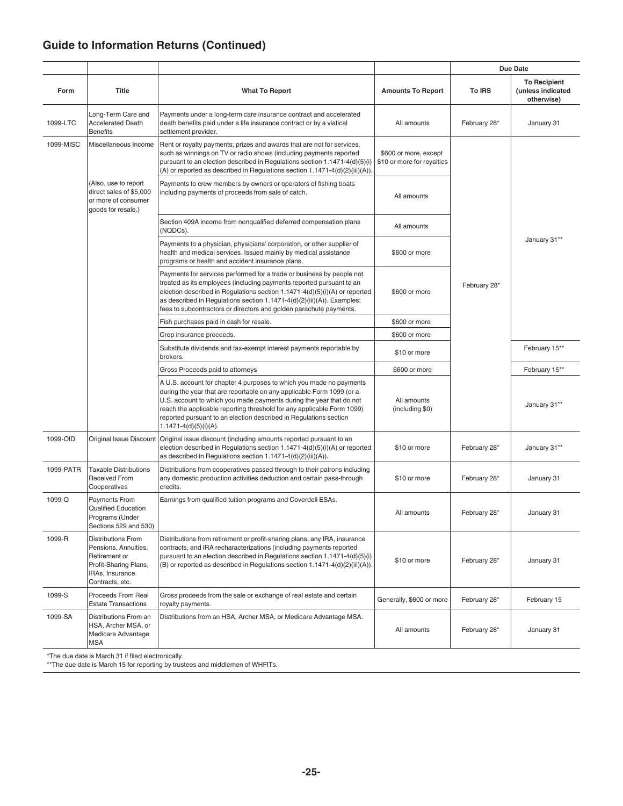### **Guide to Information Returns (Continued)**

|           |                                                                                                                                   |                                                                                                                                                                                                                                                                                                                                                                                             |                                                     |               | <b>Due Date</b>                                        |
|-----------|-----------------------------------------------------------------------------------------------------------------------------------|---------------------------------------------------------------------------------------------------------------------------------------------------------------------------------------------------------------------------------------------------------------------------------------------------------------------------------------------------------------------------------------------|-----------------------------------------------------|---------------|--------------------------------------------------------|
| Form      | <b>Title</b>                                                                                                                      | <b>What To Report</b>                                                                                                                                                                                                                                                                                                                                                                       | <b>Amounts To Report</b>                            | <b>To IRS</b> | <b>To Recipient</b><br>(unless indicated<br>otherwise) |
| 1099-LTC  | Long-Term Care and<br><b>Accelerated Death</b><br><b>Benefits</b>                                                                 | Payments under a long-term care insurance contract and accelerated<br>death benefits paid under a life insurance contract or by a viatical<br>settlement provider.                                                                                                                                                                                                                          | All amounts                                         | February 28*  | January 31                                             |
| 1099-MISC | Miscellaneous Income                                                                                                              | Rent or royalty payments; prizes and awards that are not for services,<br>such as winnings on TV or radio shows (including payments reported<br>pursuant to an election described in Regulations section 1.1471-4(d)(5)(i)<br>(A) or reported as described in Regulations section 1.1471-4(d)(2)(iii)(A)).                                                                                  | \$600 or more, except<br>\$10 or more for royalties |               |                                                        |
|           | (Also, use to report<br>direct sales of \$5,000<br>or more of consumer<br>goods for resale.)                                      | Payments to crew members by owners or operators of fishing boats<br>including payments of proceeds from sale of catch.                                                                                                                                                                                                                                                                      | All amounts                                         |               |                                                        |
|           |                                                                                                                                   | Section 409A income from nonqualified deferred compensation plans<br>(NQDCs).                                                                                                                                                                                                                                                                                                               | All amounts                                         |               |                                                        |
|           |                                                                                                                                   | Payments to a physician, physicians' corporation, or other supplier of<br>health and medical services. Issued mainly by medical assistance<br>programs or health and accident insurance plans.                                                                                                                                                                                              | \$600 or more                                       |               | January 31**                                           |
|           |                                                                                                                                   | Payments for services performed for a trade or business by people not<br>treated as its employees (including payments reported pursuant to an<br>election described in Regulations section 1.1471-4(d)(5)(i)(A) or reported<br>as described in Regulations section 1.1471-4(d)(2)(iii)(A)). Examples:<br>fees to subcontractors or directors and golden parachute payments.                 | \$600 or more                                       | February 28*  |                                                        |
|           |                                                                                                                                   | Fish purchases paid in cash for resale.                                                                                                                                                                                                                                                                                                                                                     | \$600 or more                                       |               |                                                        |
|           |                                                                                                                                   | Crop insurance proceeds.                                                                                                                                                                                                                                                                                                                                                                    | \$600 or more                                       |               |                                                        |
|           |                                                                                                                                   | Substitute dividends and tax-exempt interest payments reportable by<br>brokers.                                                                                                                                                                                                                                                                                                             | \$10 or more                                        |               | February 15**                                          |
|           |                                                                                                                                   | Gross Proceeds paid to attorneys                                                                                                                                                                                                                                                                                                                                                            | \$600 or more                                       |               | February 15**                                          |
|           |                                                                                                                                   | A U.S. account for chapter 4 purposes to which you made no payments<br>during the year that are reportable on any applicable Form 1099 (or a<br>U.S. account to which you made payments during the year that do not<br>reach the applicable reporting threshold for any applicable Form 1099)<br>reported pursuant to an election described in Regulations section<br>1.1471-4(d)(5)(i)(A). | All amounts<br>(including \$0)                      |               | January 31**                                           |
| 1099-OID  | Original Issue Discount                                                                                                           | Original issue discount (including amounts reported pursuant to an<br>election described in Regulations section 1.1471-4(d)(5)(i)(A) or reported<br>as described in Regulations section 1.1471-4(d)(2)(iii)(A)).                                                                                                                                                                            | \$10 or more                                        | February 28*  | January 31**                                           |
| 1099-PATR | <b>Taxable Distributions</b><br><b>Received From</b><br>Cooperatives                                                              | Distributions from cooperatives passed through to their patrons including<br>any domestic production activities deduction and certain pass-through<br>credits.                                                                                                                                                                                                                              | \$10 or more                                        | February 28*  | January 31                                             |
| 1099-Q    | <b>Payments From</b><br><b>Qualified Education</b><br>Programs (Under<br>Sections 529 and 530)                                    | Earnings from qualified tuition programs and Coverdell ESAs.                                                                                                                                                                                                                                                                                                                                | All amounts                                         | February 28*  | January 31                                             |
| 1099-R    | <b>Distributions From</b><br>Pensions, Annuities,<br>Retirement or<br>Profit-Sharing Plans,<br>IRAs, Insurance<br>Contracts, etc. | Distributions from retirement or profit-sharing plans, any IRA, insurance<br>contracts, and IRA recharacterizations (including payments reported<br>pursuant to an election described in Regulations section 1.1471-4(d)(5)(i)<br>(B) or reported as described in Regulations section 1.1471-4(d)(2)(iii)(A)).                                                                              | \$10 or more                                        | February 28*  | January 31                                             |
| 1099-S    | Proceeds From Real<br><b>Estate Transactions</b>                                                                                  | Gross proceeds from the sale or exchange of real estate and certain<br>royalty payments.                                                                                                                                                                                                                                                                                                    | Generally, \$600 or more                            | February 28*  | February 15                                            |
| 1099-SA   | Distributions From an<br>HSA, Archer MSA, or<br>Medicare Advantage<br><b>MSA</b>                                                  | Distributions from an HSA, Archer MSA, or Medicare Advantage MSA.                                                                                                                                                                                                                                                                                                                           | All amounts                                         | February 28*  | January 31                                             |

\*The due date is March 31 if filed electronically.

\*\* The due date is March 15 for reporting by trustees and middlemen of WHFITs.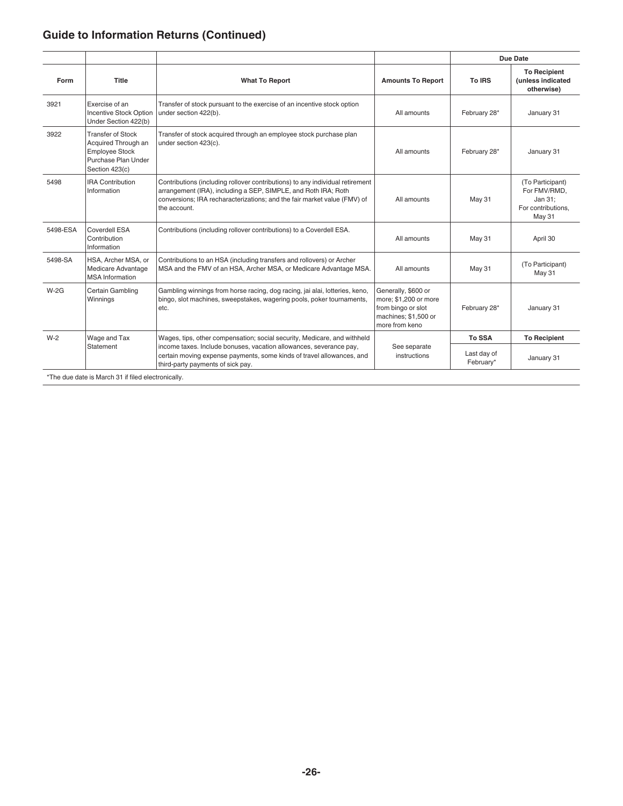### **Guide to Information Returns (Continued)**

|          |                                                                                                                   |                                                                                                                                                                                                                                             |                                                                                                              | Due Date                 |                                                                             |
|----------|-------------------------------------------------------------------------------------------------------------------|---------------------------------------------------------------------------------------------------------------------------------------------------------------------------------------------------------------------------------------------|--------------------------------------------------------------------------------------------------------------|--------------------------|-----------------------------------------------------------------------------|
| Form     | Title                                                                                                             | <b>What To Report</b>                                                                                                                                                                                                                       | <b>Amounts To Report</b>                                                                                     | To IRS                   | <b>To Recipient</b><br>(unless indicated<br>otherwise)                      |
| 3921     | Exercise of an<br><b>Incentive Stock Option</b><br>Under Section 422(b)                                           | Transfer of stock pursuant to the exercise of an incentive stock option<br>under section 422(b).                                                                                                                                            | All amounts                                                                                                  | February 28*             | January 31                                                                  |
| 3922     | <b>Transfer of Stock</b><br>Acquired Through an<br><b>Employee Stock</b><br>Purchase Plan Under<br>Section 423(c) | Transfer of stock acquired through an employee stock purchase plan<br>under section 423(c).                                                                                                                                                 | All amounts                                                                                                  | February 28*             | January 31                                                                  |
| 5498     | <b>IRA Contribution</b><br>Information                                                                            | Contributions (including rollover contributions) to any individual retirement<br>arrangement (IRA), including a SEP, SIMPLE, and Roth IRA; Roth<br>conversions; IRA recharacterizations; and the fair market value (FMV) of<br>the account. | All amounts                                                                                                  | May 31                   | (To Participant)<br>For FMV/RMD,<br>Jan 31:<br>For contributions.<br>May 31 |
| 5498-ESA | Coverdell ESA<br>Contribution<br>Information                                                                      | Contributions (including rollover contributions) to a Coverdell ESA.                                                                                                                                                                        | All amounts                                                                                                  | May 31                   | April 30                                                                    |
| 5498-SA  | HSA, Archer MSA, or<br>Medicare Advantage<br><b>MSA</b> Information                                               | Contributions to an HSA (including transfers and rollovers) or Archer<br>MSA and the FMV of an HSA, Archer MSA, or Medicare Advantage MSA.                                                                                                  | All amounts                                                                                                  | May 31                   | (To Participant)<br><b>May 31</b>                                           |
| $W-2G$   | Certain Gambling<br>Winnings                                                                                      | Gambling winnings from horse racing, dog racing, jai alai, lotteries, keno,<br>bingo, slot machines, sweepstakes, wagering pools, poker tournaments,<br>etc.                                                                                | Generally, \$600 or<br>more; \$1,200 or more<br>from bingo or slot<br>machines; \$1,500 or<br>more from keno | February 28*             | January 31                                                                  |
| $W-2$    | Wage and Tax                                                                                                      | Wages, tips, other compensation; social security, Medicare, and withheld                                                                                                                                                                    |                                                                                                              | <b>To SSA</b>            | <b>To Recipient</b>                                                         |
|          | Statement                                                                                                         | income taxes. Include bonuses, vacation allowances, severance pay,<br>certain moving expense payments, some kinds of travel allowances, and<br>third-party payments of sick pay.                                                            | See separate<br>instructions                                                                                 | Last day of<br>February* | January 31                                                                  |

\*The due date is March 31 if filed electronically.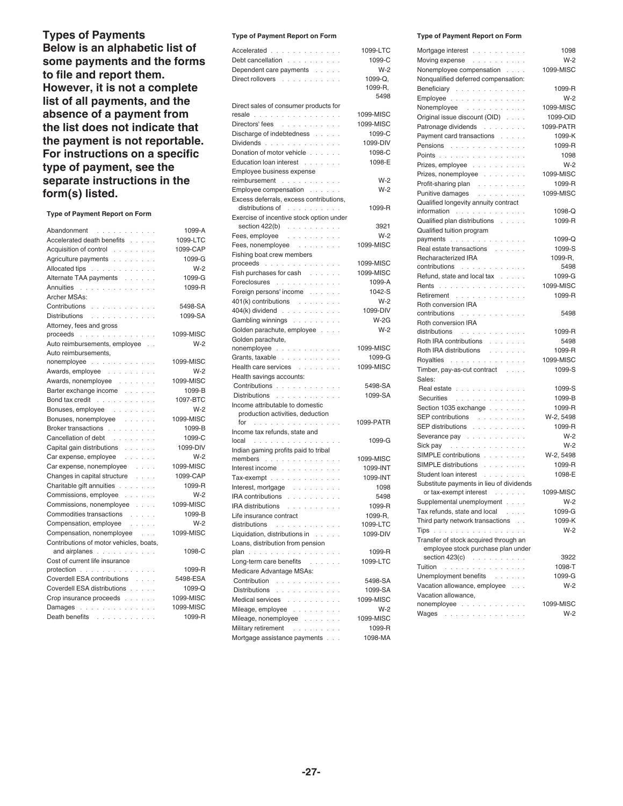### **Types of Payments Below is an alphabetic list of some payments and the forms to file and report them. However, it is not a complete list of all payments, and the absence of a payment from the list does not indicate that the payment is not reportable. For instructions on a specific type of payment, see the separate instructions in the form(s) listed.**

**Type of Payment Report on Form**

| Abandonment                                                                                                                                                                                                                    | 1099-A    |
|--------------------------------------------------------------------------------------------------------------------------------------------------------------------------------------------------------------------------------|-----------|
| Accelerated death benefits                                                                                                                                                                                                     | 1099-LTC  |
| Acquisition of control                                                                                                                                                                                                         | 1099-CAP  |
| Agriculture payments                                                                                                                                                                                                           | 1099-G    |
| Allocated tips with a subset of the state of the state of the state of the state of the state of the state of the state of the state of the state of the state of the state of the state of the state of the state of the stat | $W-2$     |
| Alternate TAA payments                                                                                                                                                                                                         | 1099-G    |
| Annuities                                                                                                                                                                                                                      | 1099-R    |
| Archer MSAs:                                                                                                                                                                                                                   |           |
| Contributions                                                                                                                                                                                                                  | 5498-SA   |
| Distributions                                                                                                                                                                                                                  | 1099-SA   |
| Attorney, fees and gross                                                                                                                                                                                                       |           |
| proceeds                                                                                                                                                                                                                       | 1099-MISC |
| Auto reimbursements, employee                                                                                                                                                                                                  | $W-2$     |
| Auto reimbursements,                                                                                                                                                                                                           |           |
| nonemployee                                                                                                                                                                                                                    | 1099-MISC |
| Awards, employee                                                                                                                                                                                                               | $W-2$     |
| Awards, nonemployee                                                                                                                                                                                                            | 1099-MISC |
| Barter exchange income                                                                                                                                                                                                         | 1099-B    |
| Bond tax credit                                                                                                                                                                                                                | 1097-BTC  |
| Bonuses, employee                                                                                                                                                                                                              | $W-2$     |
| Bonuses, nonemployee                                                                                                                                                                                                           | 1099-MISC |
| Broker transactions                                                                                                                                                                                                            | 1099-B    |
| Cancellation of debt                                                                                                                                                                                                           | 1099-C    |
| Capital gain distributions                                                                                                                                                                                                     | 1099-DIV  |
| Car expense, employee                                                                                                                                                                                                          | $W-2$     |
| Car expense, nonemployee                                                                                                                                                                                                       | 1099-MISC |
| Changes in capital structure                                                                                                                                                                                                   | 1099-CAP  |
| Charitable gift annuities                                                                                                                                                                                                      | 1099-R    |
| Commissions, employee                                                                                                                                                                                                          | $W-2$     |
| Commissions, nonemployee                                                                                                                                                                                                       | 1099-MISC |
| Commodities transactions                                                                                                                                                                                                       | 1099-B    |
| Compensation, employee                                                                                                                                                                                                         | $W-2$     |
| Compensation, nonemployee                                                                                                                                                                                                      | 1099-MISC |
| Contributions of motor vehicles, boats,                                                                                                                                                                                        |           |
| and airplanes                                                                                                                                                                                                                  | 1098-C    |
| Cost of current life insurance                                                                                                                                                                                                 |           |
| protection                                                                                                                                                                                                                     | 1099-R    |
| Coverdell ESA contributions                                                                                                                                                                                                    | 5498-ESA  |
| Coverdell ESA distributions                                                                                                                                                                                                    | 1099-Q    |
| Crop insurance proceeds                                                                                                                                                                                                        | 1099-MISC |
| Damages                                                                                                                                                                                                                        | 1099-MISC |
| Death benefits                                                                                                                                                                                                                 | 1099-R    |

#### **Type of Payment Report on Form**

| Accelerated                                                                                                    | 1099-LTC           |
|----------------------------------------------------------------------------------------------------------------|--------------------|
| Debt cancellation                                                                                              | 1099-C             |
| Dependent care payments                                                                                        | $W-2$              |
| Direct rollovers                                                                                               | 1099-Q.            |
|                                                                                                                | 1099-R.            |
|                                                                                                                | 5498               |
| Direct sales of consumer products for                                                                          |                    |
| resale                                                                                                         | 1099-MISC          |
| Directors' fees                                                                                                | 1099-MISC          |
| Discharge of indebtedness                                                                                      | 1099-C<br>1099-DIV |
| Dividends<br>Donation of motor vehicle                                                                         | 1098-C             |
| Education loan interest                                                                                        | 1098-E             |
| Employee business expense                                                                                      |                    |
| reimbursement                                                                                                  | $W-2$              |
| Employee compensation                                                                                          | $W-2$              |
| Excess deferrals, excess contributions,                                                                        |                    |
| distributions of with a subset of the state of the state of the state of the state of the state of the state o | 1099-R             |
| Exercise of incentive stock option under                                                                       |                    |
|                                                                                                                | 3921               |
| section 422(b)<br>Fees, employee<br>$\cdots$                                                                   | $W-2$              |
| Fees, nonemployee                                                                                              | 1099-MISC          |
| Fishing boat crew members                                                                                      |                    |
| $proceeds$                                                                                                     | 1099-MISC          |
| Fish purchases for cash                                                                                        | 1099-MISC          |
| Foreclosures                                                                                                   | 1099-A             |
| Foreign persons' income                                                                                        | 1042-S             |
| $401(k)$ contributions $\ldots \ldots$                                                                         | $W-2$              |
| $404(k)$ dividend $\ldots \ldots \ldots$                                                                       | 1099-DIV           |
| Gambling winnings<br>$\ddot{\phantom{0}}$                                                                      | $W-2G$             |
| Golden parachute, employee                                                                                     | $W-2$              |
| Golden parachute,                                                                                              |                    |
| nonemployee<br>$\ddot{\phantom{a}}$                                                                            | 1099-MISC          |
| Grants, taxable<br>$\overline{a}$                                                                              | 1099-G             |
| Health care services                                                                                           | 1099-MISC          |
| Health savings accounts:                                                                                       |                    |
| Contributions                                                                                                  | 5498-SA            |
| Distributions                                                                                                  | 1099-SA            |
| Income attributable to domestic<br>production activities, deduction                                            |                    |
| for                                                                                                            | 1099-PATR          |
| Income tax refunds, state and                                                                                  |                    |
| $local$                                                                                                        | 1099-G             |
| Indian gaming profits paid to tribal                                                                           |                    |
| members                                                                                                        | 1099-MISC          |
| Interest income                                                                                                | 1099-INT           |
| Tax-exempt                                                                                                     | 1099-INT           |
| Interest, mortgage                                                                                             | 1098               |
| IRA contributions $\ldots$                                                                                     | 5498               |
| IRA distributions                                                                                              | 1099-R             |
| Life insurance contract                                                                                        | 1099-R,            |
| distributions                                                                                                  | 1099-LTC           |
| Liquidation, distributions in                                                                                  | 1099-DIV           |
| Loans, distribution from pension                                                                               |                    |
| plan                                                                                                           | 1099-R             |
| Long-term care benefits                                                                                        | 1099-LTC           |
| Medicare Advantage MSAs:                                                                                       |                    |
| Contribution                                                                                                   | 5498-SA            |
| Distributions                                                                                                  | 1099-SA            |
| Medical services                                                                                               | 1099-MISC          |
| Mileage, employee                                                                                              | $W-2$              |
| Mileage, nonemployee                                                                                           | 1099-MISC          |
| Military retirement                                                                                            | 1099-R             |
| Mortgage assistance payments                                                                                   | 1098-MA            |

#### **Type of Payment Report on Form**

| Mortgage interest                                   | 1098            |
|-----------------------------------------------------|-----------------|
| Moving expense                                      | $W-2$           |
| Nonemployee compensation                            | 1099-MISC       |
| Nonqualified deferred compensation:                 |                 |
| Beneficiary                                         | 1099-R          |
| $Emplovee$ .                                        | $W-2$           |
| Nonemployee                                         | 1099-MISC       |
| Original issue discount (OID)                       | 1099-OID        |
| Patronage dividends                                 | 1099-PATR       |
| Payment card transactions                           | 1099-K          |
| Pensions                                            | 1099-R          |
| Points                                              | 1098            |
| Prizes, employee                                    | $W-2$           |
| Prizes, nonemployee<br>l,                           | 1099-MISC       |
| Profit-sharing plan                                 | 1099-R          |
| Punitive damages                                    | 1099-MISC       |
| Qualified longevity annuity contract                |                 |
| information                                         | 1098-Q          |
| Qualified plan distributions                        | 1099-R          |
| Qualified tuition program                           |                 |
| payments                                            | 1099-Q          |
| Real estate transactions                            | 1099-S          |
| Recharacterized IRA<br>contributions                | 1099-R.<br>5498 |
| Refund, state and local tax                         | 1099-G          |
| <b>Rents</b>                                        | 1099-MISC       |
| Retirement                                          | 1099-R          |
| Roth conversion IRA                                 |                 |
| contributions                                       | 5498            |
| Roth conversion IRA                                 |                 |
| distributions                                       | 1099-R          |
| Roth IRA contributions                              | 5498            |
| Roth IRA distributions                              | 1099-R          |
| Royalties                                           | 1099-MISC       |
| Timber, pay-as-cut contract                         | 1099-S          |
| Sales:                                              |                 |
| Real estate                                         | 1099-S          |
| Securities                                          | 1099-B          |
| Section 1035 exchange                               | 1099-R          |
| SEP contributions                                   | W-2, 5498       |
| SEP distributions<br>$\sim$                         | 1099-R          |
| Severance pay responsively                          | $W-2$           |
| Sick pay $\cdots$<br>$\mathbf{r}$                   | $W-2$           |
| SIMPLE contributions                                | W-2, 5498       |
| SIMPLE distributions                                | 1099-R          |
| Student loan interest                               | 1098-E          |
| Substitute payments in lieu of dividends            |                 |
| or tax-exempt interest                              | 1099-MISC       |
| Supplemental unemployment                           | $W-2$           |
| Tax refunds, state and local<br><b>Carl Carl Co</b> | 1099-G          |
| Third party network transactions<br>$\sim$ $\sim$   | 1099-K          |
| Tips<br>$\mathbf{r}$                                | $W-2$           |
| Transfer of stock acquired through an               |                 |
| employee stock purchase plan under                  |                 |
| section 423(c) $\cdots$ $\cdots$ $\cdots$           | 3922            |
| Tuition<br>and a series and a series and a series   | 1098-T          |
| Unemployment benefits                               | 1099-G          |
| Vacation allowance, employee                        | $W-2$           |
| Vacation allowance,                                 |                 |
| nonemployee                                         | 1099-MISC       |
| Wages                                               | $W-2$           |